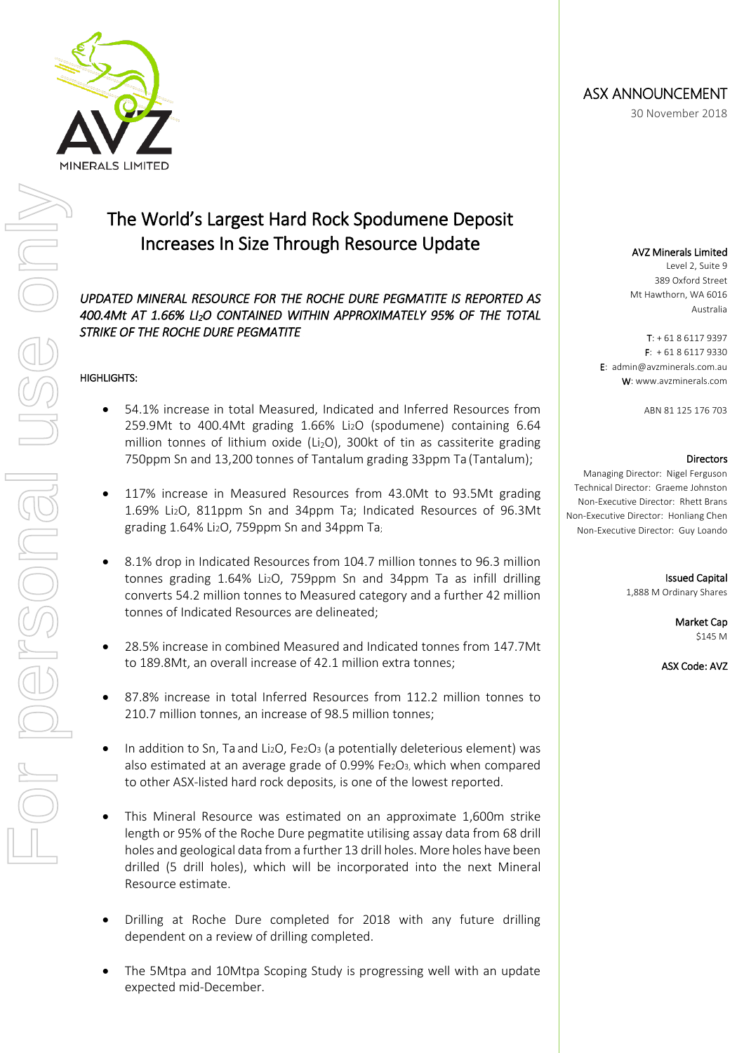

# The World's Largest Hard Rock Spodumene Deposit Increases In Size Through Resource Update

#### *UPDATED MINERAL RESOURCE FOR THE ROCHE DURE PEGMATITE IS REPORTED AS 400.4Mt AT 1.66% LI2O CONTAINED WITHIN APPROXIMATELY 95% OF THE TOTAL STRIKE OF THE ROCHE DURE PEGMATITE*

#### HIGHLIGHTS:

- 54.1% increase in total Measured, Indicated and Inferred Resources from 259.9Mt to 400.4Mt grading 1.66% Li2O (spodumene) containing 6.64 million tonnes of lithium oxide ( $Li<sub>2</sub>O$ ), 300kt of tin as cassiterite grading 750ppm Sn and 13,200 tonnes of Tantalum grading 33ppm Ta (Tantalum);
- 117% increase in Measured Resources from 43.0Mt to 93.5Mt grading 1.69% Li2O, 811ppm Sn and 34ppm Ta; Indicated Resources of 96.3Mt grading 1.64% Li2O, 759ppm Sn and 34ppm Ta;
- 8.1% drop in Indicated Resources from 104.7 million tonnes to 96.3 million tonnes grading 1.64% Li2O, 759ppm Sn and 34ppm Ta as infill drilling converts 54.2 million tonnes to Measured category and a further 42 million tonnes of Indicated Resources are delineated;
- 28.5% increase in combined Measured and Indicated tonnes from 147.7Mt to 189.8Mt, an overall increase of 42.1 million extra tonnes;
- 87.8% increase in total Inferred Resources from 112.2 million tonnes to 210.7 million tonnes, an increase of 98.5 million tonnes;
- In addition to Sn, Ta and Li2O, Fe2O3 (a potentially deleterious element) was also estimated at an average grade of 0.99% Fe2O3, which when compared to other ASX-listed hard rock deposits, is one of the lowest reported.
- This Mineral Resource was estimated on an approximate 1,600m strike length or 95% of the Roche Dure pegmatite utilising assay data from 68 drill holes and geological data from a further 13 drill holes. More holes have been drilled (5 drill holes), which will be incorporated into the next Mineral Resource estimate.
- Drilling at Roche Dure completed for 2018 with any future drilling dependent on a review of drilling completed.
- The 5Mtpa and 10Mtpa Scoping Study is progressing well with an update expected mid-December.

## ASX ANNOUNCEMENT

30 November 2018

#### AVZ Minerals Limited

Level 2, Suite 9 389 Oxford Street Mt Hawthorn, WA 6016 Australia

 $T: +61861179397$  $F: +61861179330$ E: admin@avzminerals.com.au W: www.avzminerals.com

ABN 81 125 176 703

#### Directors

Managing Director: Nigel Ferguson Technical Director: Graeme Johnston Non-Executive Director: Rhett Brans Non-Executive Director: Honliang Chen Non-Executive Director: Guy Loando

> Issued Capital 1,888 M Ordinary Shares

> > Market Cap \$145 M

ASX Code: AVZ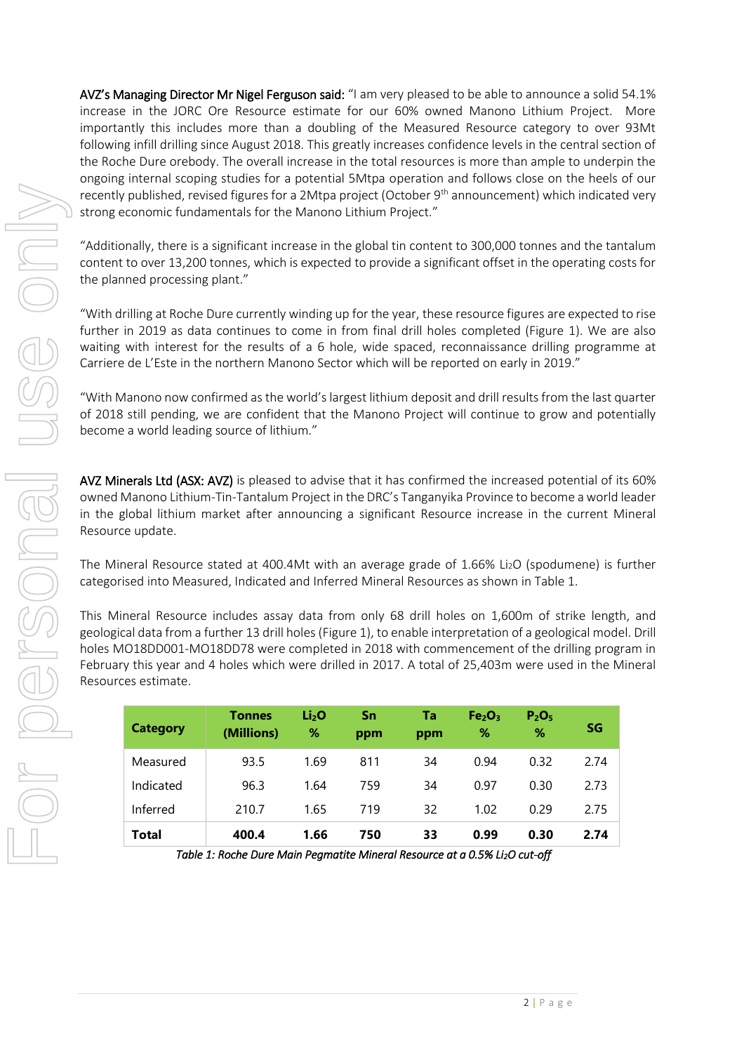AVZ's Managing Director Mr Nigel Ferguson said: "I am very pleased to be able to announce a solid 54.1% increase in the JORC Ore Resource estimate for our 60% owned Manono Lithium Project. More importantly this includes more than a doubling of the Measured Resource category to over 93Mt following infill drilling since August 2018. This greatly increases confidence levels in the central section of the Roche Dure orebody. The overall increase in the total resources is more than ample to underpin the ongoing internal scoping studies for a potential 5Mtpa operation and follows close on the heels of our recently published, revised figures for a 2Mtpa project (October 9<sup>th</sup> announcement) which indicated very strong economic fundamentals for the Manono Lithium Project."

"Additionally, there is a significant increase in the global tin content to 300,000 tonnes and the tantalum content to over 13,200 tonnes, which is expected to provide a significant offset in the operating costs for the planned processing plant."

"With drilling at Roche Dure currently winding up for the year, these resource figures are expected to rise further in 2019 as data continues to come in from final drill holes completed (Figure 1). We are also waiting with interest for the results of a 6 hole, wide spaced, reconnaissance drilling programme at Carriere de L'Este in the northern Manono Sector which will be reported on early in 2019."

"With Manono now confirmed as the world's largest lithium deposit and drill results from the last quarter of 2018 still pending, we are confident that the Manono Project will continue to grow and potentially become a world leading source of lithium."

AVZ Minerals Ltd (ASX: AVZ) is pleased to advise that it has confirmed the increased potential of its 60% owned Manono Lithium-Tin-Tantalum Project in the DRC's Tanganyika Province to become a world leader in the global lithium market after announcing a significant Resource increase in the current Mineral Resource update.

The Mineral Resource stated at 400.4Mt with an average grade of 1.66% Li2O (spodumene) is further categorised into Measured, Indicated and Inferred Mineral Resources as shown in Table 1.

This Mineral Resource includes assay data from only 68 drill holes on 1,600m of strike length, and geological data from a further 13 drill holes (Figure 1), to enable interpretation of a geological model. Drill holes MO18DD001-MO18DD78 were completed in 2018 with commencement of the drilling program in February this year and 4 holes which were drilled in 2017. A total of 25,403m were used in the Mineral Resources estimate.

| <b>Category</b> | <b>Tonnes</b><br>(Millions) | Li <sub>2</sub> O<br>% | Sn<br>ppm | Ta<br>ppm | Fe <sub>2</sub> O <sub>3</sub><br>% | P <sub>2</sub> O <sub>5</sub><br>% | SG   |
|-----------------|-----------------------------|------------------------|-----------|-----------|-------------------------------------|------------------------------------|------|
| Measured        | 93.5                        | 1.69                   | 811       | 34        | 0.94                                | 0.32                               | 2.74 |
| Indicated       | 96.3                        | 1.64                   | 759       | 34        | 0.97                                | 0.30                               | 2.73 |
| Inferred        | 210.7                       | 1.65                   | 719       | 32        | 1.02                                | 0.29                               | 2.75 |
| Total           | 400.4                       | 1.66                   | 750       | 33        | 0.99                                | 0.30                               | 2.74 |

*Table 1: Roche Dure Main Pegmatite Mineral Resource at a 0.5% Li2O cut-off*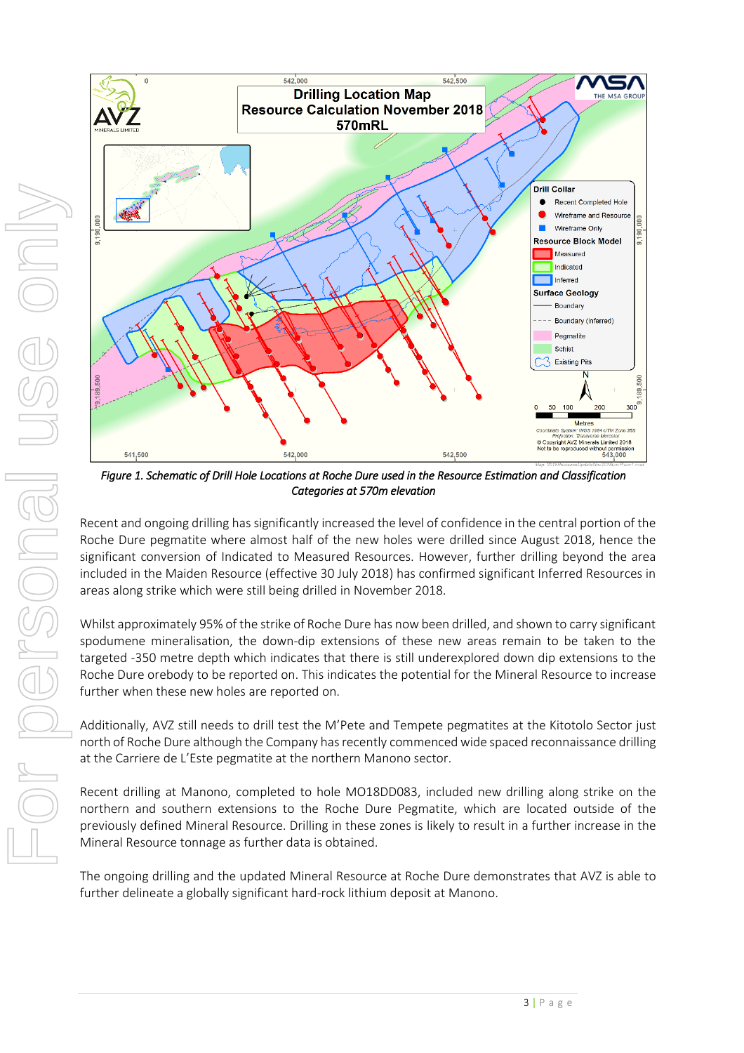

*Figure 1. Schematic of Drill Hole Locations at Roche Dure used in the Resource Estimation and Classification Categories at 570m elevation* 

Recent and ongoing drilling has significantly increased the level of confidence in the central portion of the Roche Dure pegmatite where almost half of the new holes were drilled since August 2018, hence the significant conversion of Indicated to Measured Resources. However, further drilling beyond the area included in the Maiden Resource (effective 30 July 2018) has confirmed significant Inferred Resources in areas along strike which were still being drilled in November 2018.

Whilst approximately 95% of the strike of Roche Dure has now been drilled, and shown to carry significant spodumene mineralisation, the down-dip extensions of these new areas remain to be taken to the targeted -350 metre depth which indicates that there is still underexplored down dip extensions to the Roche Dure orebody to be reported on. This indicates the potential for the Mineral Resource to increase further when these new holes are reported on.

Additionally, AVZ still needs to drill test the M'Pete and Tempete pegmatites at the Kitotolo Sector just north of Roche Dure although the Company has recently commenced wide spaced reconnaissance drilling at the Carriere de L'Este pegmatite at the northern Manono sector.

Recent drilling at Manono, completed to hole MO18DD083, included new drilling along strike on the northern and southern extensions to the Roche Dure Pegmatite, which are located outside of the previously defined Mineral Resource. Drilling in these zones is likely to result in a further increase in the Mineral Resource tonnage as further data is obtained.

The ongoing drilling and the updated Mineral Resource at Roche Dure demonstrates that AVZ is able to further delineate a globally significant hard-rock lithium deposit at Manono.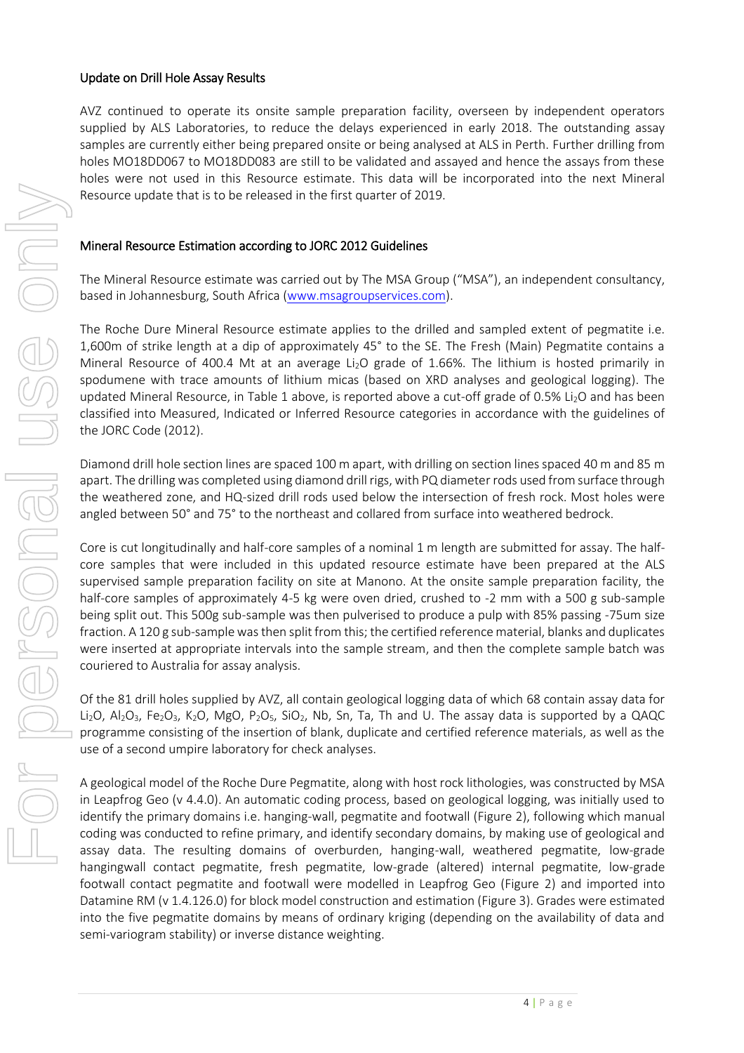#### Update on Drill Hole Assay Results

AVZ continued to operate its onsite sample preparation facility, overseen by independent operators supplied by ALS Laboratories, to reduce the delays experienced in early 2018. The outstanding assay samples are currently either being prepared onsite or being analysed at ALS in Perth. Further drilling from holes MO18DD067 to MO18DD083 are still to be validated and assayed and hence the assays from these holes were not used in this Resource estimate. This data will be incorporated into the next Mineral Resource update that is to be released in the first quarter of 2019.

#### Mineral Resource Estimation according to JORC 2012 Guidelines

The Mineral Resource estimate was carried out by The MSA Group ("MSA"), an independent consultancy, based in Johannesburg, South Africa [\(www.msagroupservices.com\)](http://www.msagroupservices.com/).

The Roche Dure Mineral Resource estimate applies to the drilled and sampled extent of pegmatite i.e. 1,600m of strike length at a dip of approximately 45° to the SE. The Fresh (Main) Pegmatite contains a Mineral Resource of 400.4 Mt at an average Li<sub>2</sub>O grade of 1.66%. The lithium is hosted primarily in spodumene with trace amounts of lithium micas (based on XRD analyses and geological logging). The updated Mineral Resource, in Table 1 above, is reported above a cut-off grade of 0.5% Li<sub>2</sub>O and has been classified into Measured, Indicated or Inferred Resource categories in accordance with the guidelines of the JORC Code (2012).

Diamond drill hole section lines are spaced 100 m apart, with drilling on section lines spaced 40 m and 85 m apart. The drilling was completed using diamond drill rigs, with PQ diameter rods used from surface through the weathered zone, and HQ-sized drill rods used below the intersection of fresh rock. Most holes were angled between 50° and 75° to the northeast and collared from surface into weathered bedrock.

Core is cut longitudinally and half-core samples of a nominal 1 m length are submitted for assay. The halfcore samples that were included in this updated resource estimate have been prepared at the ALS supervised sample preparation facility on site at Manono. At the onsite sample preparation facility, the half-core samples of approximately 4-5 kg were oven dried, crushed to -2 mm with a 500 g sub-sample being split out. This 500g sub-sample was then pulverised to produce a pulp with 85% passing -75um size fraction. A 120 g sub-sample was then split from this; the certified reference material, blanks and duplicates were inserted at appropriate intervals into the sample stream, and then the complete sample batch was couriered to Australia for assay analysis.

Of the 81 drill holes supplied by AVZ, all contain geological logging data of which 68 contain assay data for Li<sub>2</sub>O, Al<sub>2</sub>O<sub>3</sub>, Fe<sub>2</sub>O<sub>3</sub>, K<sub>2</sub>O, MgO, P<sub>2</sub>O<sub>5</sub>, SiO<sub>2</sub>, Nb, Sn, Ta, Th and U. The assay data is supported by a QAQC programme consisting of the insertion of blank, duplicate and certified reference materials, as well as the use of a second umpire laboratory for check analyses.

A geological model of the Roche Dure Pegmatite, along with host rock lithologies, was constructed by MSA in Leapfrog Geo (v 4.4.0). An automatic coding process, based on geological logging, was initially used to identify the primary domains i.e. hanging-wall, pegmatite and footwall (Figure 2), following which manual coding was conducted to refine primary, and identify secondary domains, by making use of geological and assay data. The resulting domains of overburden, hanging-wall, weathered pegmatite, low-grade hangingwall contact pegmatite, fresh pegmatite, low-grade (altered) internal pegmatite, low-grade footwall contact pegmatite and footwall were modelled in Leapfrog Geo (Figure 2) and imported into Datamine RM (v 1.4.126.0) for block model construction and estimation (Figure 3). Grades were estimated into the five pegmatite domains by means of ordinary kriging (depending on the availability of data and semi-variogram stability) or inverse distance weighting.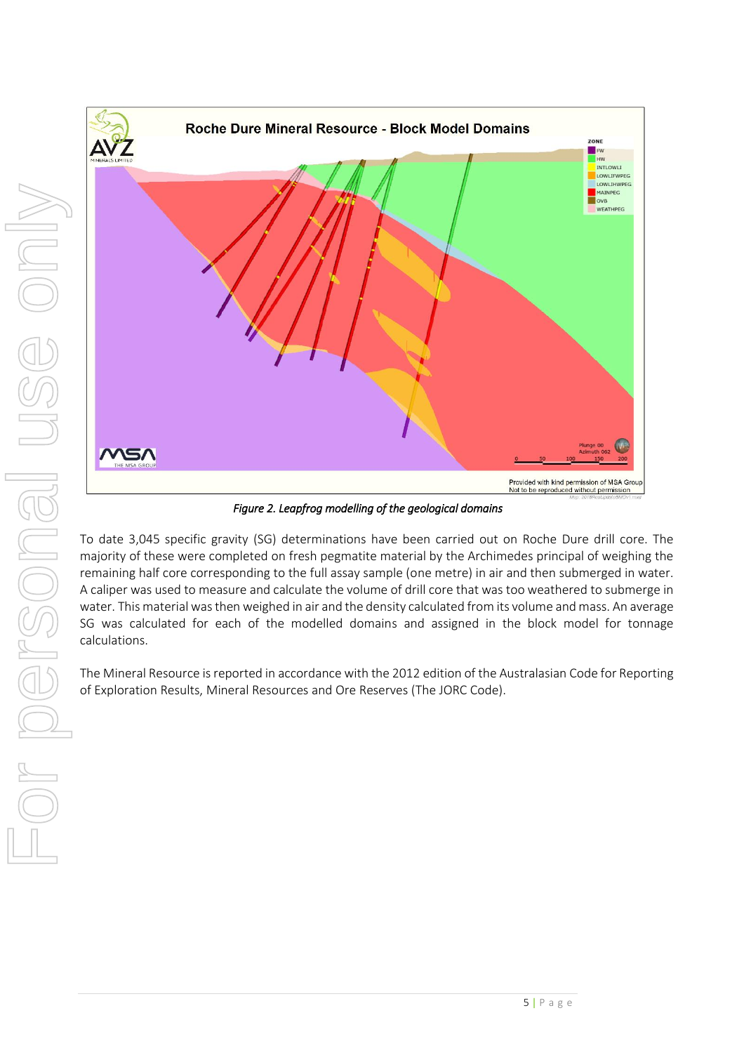

*Figure 2. Leapfrog modelling of the geological domains* 

To date 3,045 specific gravity (SG) determinations have been carried out on Roche Dure drill core. The majority of these were completed on fresh pegmatite material by the Archimedes principal of weighing the remaining half core corresponding to the full assay sample (one metre) in air and then submerged in water. A caliper was used to measure and calculate the volume of drill core that was too weathered to submerge in water. This material was then weighed in air and the density calculated from its volume and mass. An average SG was calculated for each of the modelled domains and assigned in the block model for tonnage calculations.

The Mineral Resource is reported in accordance with the 2012 edition of the Australasian Code for Reporting of Exploration Results, Mineral Resources and Ore Reserves (The JORC Code).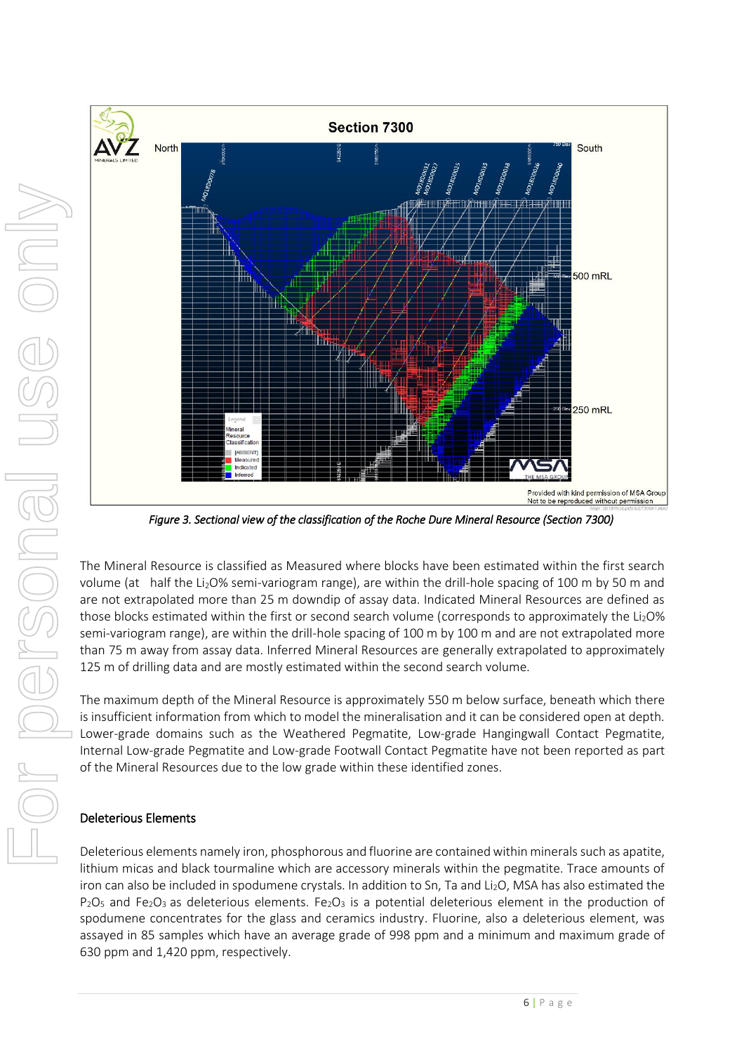

*Figure 3. Sectional view of the classification of the Roche Dure Mineral Resource (Section 7300)* 

The Mineral Resource is classified as Measured where blocks have been estimated within the first search volume (at half the Li<sub>2</sub>O% semi-variogram range), are within the drill-hole spacing of 100 m by 50 m and are not extrapolated more than 25 m downdip of assay data. Indicated Mineral Resources are defined as those blocks estimated within the first or second search volume (corresponds to approximately the  $Li<sub>2</sub>O$ % semi-variogram range), are within the drill-hole spacing of 100 m by 100 m and are not extrapolated more than 75 m away from assay data. Inferred Mineral Resources are generally extrapolated to approximately 125 m of drilling data and are mostly estimated within the second search volume.

The maximum depth of the Mineral Resource is approximately 550 m below surface, beneath which there is insufficient information from which to model the mineralisation and it can be considered open at depth. Lower-grade domains such as the Weathered Pegmatite, Low-grade Hangingwall Contact Pegmatite, Internal Low-grade Pegmatite and Low-grade Footwall Contact Pegmatite have not been reported as part of the Mineral Resources due to the low grade within these identified zones.

#### Deleterious Elements

Deleterious elements namely iron, phosphorous and fluorine are contained within minerals such as apatite, lithium micas and black tourmaline which are accessory minerals within the pegmatite. Trace amounts of iron can also be included in spodumene crystals. In addition to Sn, Ta and Li<sub>2</sub>O, MSA has also estimated the  $P_2O_5$  and Fe<sub>2</sub>O<sub>3</sub> as deleterious elements. Fe<sub>2</sub>O<sub>3</sub> is a potential deleterious element in the production of spodumene concentrates for the glass and ceramics industry. Fluorine, also a deleterious element, was assayed in 85 samples which have an average grade of 998 ppm and a minimum and maximum grade of 630 ppm and 1,420 ppm, respectively.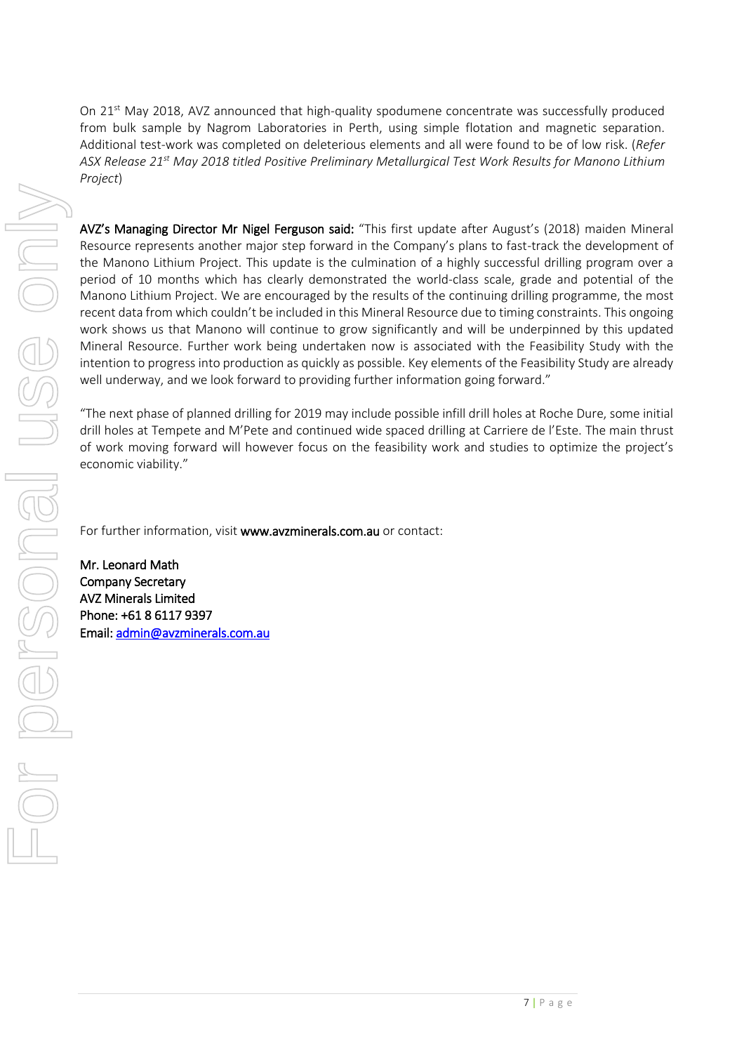On  $21^{st}$  May 2018, AVZ announced that high-quality spodumene concentrate was successfully produced from bulk sample by Nagrom Laboratories in Perth, using simple flotation and magnetic separation. Additional test-work was completed on deleterious elements and all were found to be of low risk. (*Refer ASX Release 21st May 2018 titled Positive Preliminary Metallurgical Test Work Results for Manono Lithium Project*)

AVZ's Managing Director Mr Nigel Ferguson said: "This first update after August's (2018) maiden Mineral Resource represents another major step forward in the Company's plans to fast-track the development of the Manono Lithium Project. This update is the culmination of a highly successful drilling program over a period of 10 months which has clearly demonstrated the world-class scale, grade and potential of the Manono Lithium Project. We are encouraged by the results of the continuing drilling programme, the most recent data from which couldn't be included in this Mineral Resource due to timing constraints. This ongoing work shows us that Manono will continue to grow significantly and will be underpinned by this updated Mineral Resource. Further work being undertaken now is associated with the Feasibility Study with the intention to progress into production as quickly as possible. Key elements of the Feasibility Study are already well underway, and we look forward to providing further information going forward."

"The next phase of planned drilling for 2019 may include possible infill drill holes at Roche Dure, some initial drill holes at Tempete and M'Pete and continued wide spaced drilling at Carriere de l'Este. The main thrust of work moving forward will however focus on the feasibility work and studies to optimize the project's economic viability."

For further information, visit [www.avzminerals.com.au](http://www.avzminerals.com.au/) or contact:

Mr. Leonard Math Company Secretary AVZ Minerals Limited Phone: +61 8 6117 9397 Email[: admin@avzminerals.com.au](mailto:admin@avzminerals.com.au)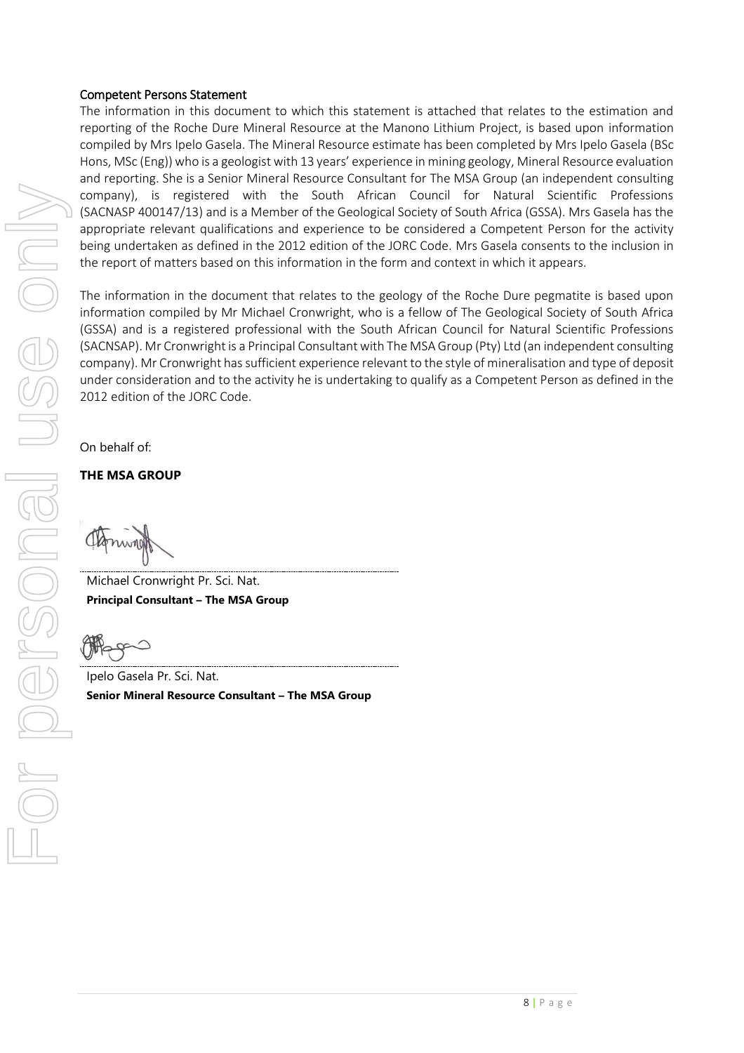#### Competent Persons Statement

The information in this document to which this statement is attached that relates to the estimation and reporting of the Roche Dure Mineral Resource at the Manono Lithium Project, is based upon information compiled by Mrs Ipelo Gasela. The Mineral Resource estimate has been completed by Mrs Ipelo Gasela (BSc Hons, MSc (Eng)) who is a geologist with 13 years' experience in mining geology, Mineral Resource evaluation and reporting. She is a Senior Mineral Resource Consultant for The MSA Group (an independent consulting company), is registered with the South African Council for Natural Scientific Professions (SACNASP 400147/13) and is a Member of the Geological Society of South Africa (GSSA). Mrs Gasela has the appropriate relevant qualifications and experience to be considered a Competent Person for the activity being undertaken as defined in the 2012 edition of the JORC Code. Mrs Gasela consents to the inclusion in the report of matters based on this information in the form and context in which it appears.

The information in the document that relates to the geology of the Roche Dure pegmatite is based upon information compiled by Mr Michael Cronwright, who is a fellow of The Geological Society of South Africa (GSSA) and is a registered professional with the South African Council for Natural Scientific Professions (SACNSAP). Mr Cronwright is a Principal Consultant with The MSA Group (Pty) Ltd (an independent consulting company). Mr Cronwright has sufficient experience relevant to the style of mineralisation and type of deposit under consideration and to the activity he is undertaking to qualify as a Competent Person as defined in the 2012 edition of the JORC Code.

On behalf of:

**THE MSA GROUP**

Michael Cronwright Pr. Sci. Nat. **Principal Consultant – The MSA Group**

Ipelo Gasela Pr. Sci. Nat. **Senior Mineral Resource Consultant – The MSA Group**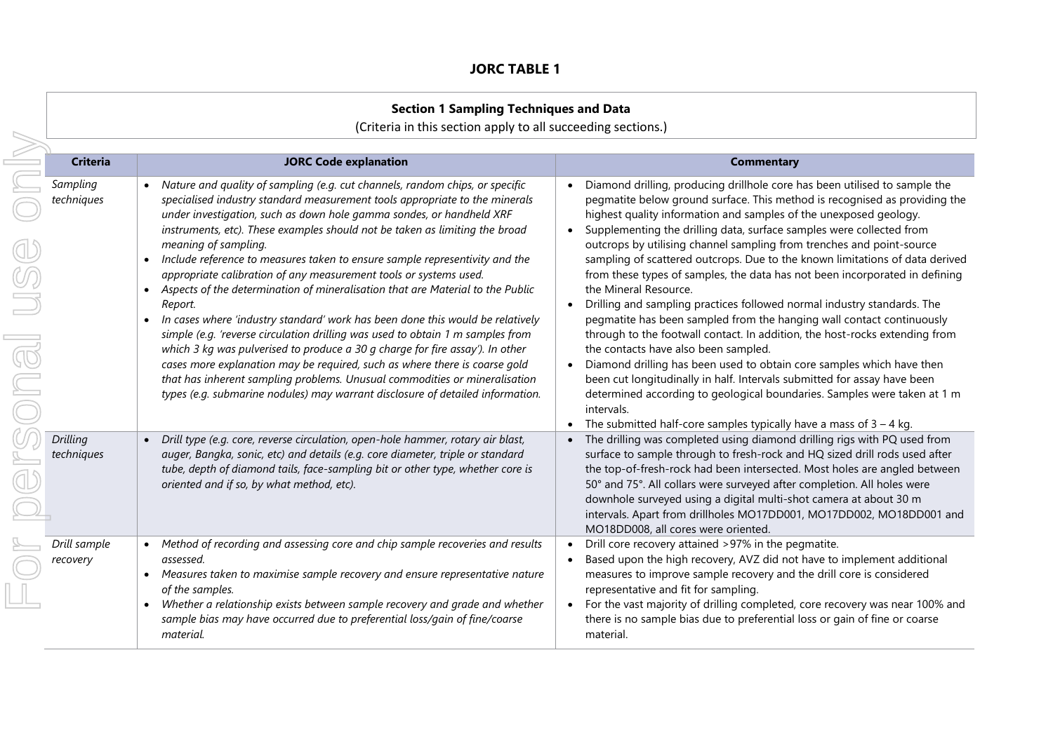## **JORC TABLE 1**

| <b>Section 1 Sampling Techniques and Data</b><br>(Criteria in this section apply to all succeeding sections.) |                                                                                                                                                                                                                                                                                                                                                                                                                                                                                                                                                                                                                                                                                                                                                                                                                                                                                                                                                                                                                                                                                                             |                                                                                                                                                                                                                                                                                                                                                                                                                                                                                                                                                                                                                                                                                                                                                                                                                                                                                                                                                                                                                                                                                                                                                                          |
|---------------------------------------------------------------------------------------------------------------|-------------------------------------------------------------------------------------------------------------------------------------------------------------------------------------------------------------------------------------------------------------------------------------------------------------------------------------------------------------------------------------------------------------------------------------------------------------------------------------------------------------------------------------------------------------------------------------------------------------------------------------------------------------------------------------------------------------------------------------------------------------------------------------------------------------------------------------------------------------------------------------------------------------------------------------------------------------------------------------------------------------------------------------------------------------------------------------------------------------|--------------------------------------------------------------------------------------------------------------------------------------------------------------------------------------------------------------------------------------------------------------------------------------------------------------------------------------------------------------------------------------------------------------------------------------------------------------------------------------------------------------------------------------------------------------------------------------------------------------------------------------------------------------------------------------------------------------------------------------------------------------------------------------------------------------------------------------------------------------------------------------------------------------------------------------------------------------------------------------------------------------------------------------------------------------------------------------------------------------------------------------------------------------------------|
| <b>Criteria</b>                                                                                               | <b>JORC Code explanation</b>                                                                                                                                                                                                                                                                                                                                                                                                                                                                                                                                                                                                                                                                                                                                                                                                                                                                                                                                                                                                                                                                                | <b>Commentary</b>                                                                                                                                                                                                                                                                                                                                                                                                                                                                                                                                                                                                                                                                                                                                                                                                                                                                                                                                                                                                                                                                                                                                                        |
| Sampling<br>techniques                                                                                        | Nature and quality of sampling (e.g. cut channels, random chips, or specific<br>specialised industry standard measurement tools appropriate to the minerals<br>under investigation, such as down hole gamma sondes, or handheld XRF<br>instruments, etc). These examples should not be taken as limiting the broad<br>meaning of sampling.<br>Include reference to measures taken to ensure sample representivity and the<br>$\bullet$<br>appropriate calibration of any measurement tools or systems used.<br>Aspects of the determination of mineralisation that are Material to the Public<br>Report.<br>In cases where 'industry standard' work has been done this would be relatively<br>simple (e.g. 'reverse circulation drilling was used to obtain 1 m samples from<br>which 3 kg was pulverised to produce a 30 g charge for fire assay'). In other<br>cases more explanation may be required, such as where there is coarse gold<br>that has inherent sampling problems. Unusual commodities or mineralisation<br>types (e.g. submarine nodules) may warrant disclosure of detailed information. | Diamond drilling, producing drillhole core has been utilised to sample the<br>pegmatite below ground surface. This method is recognised as providing the<br>highest quality information and samples of the unexposed geology.<br>Supplementing the drilling data, surface samples were collected from<br>outcrops by utilising channel sampling from trenches and point-source<br>sampling of scattered outcrops. Due to the known limitations of data derived<br>from these types of samples, the data has not been incorporated in defining<br>the Mineral Resource.<br>Drilling and sampling practices followed normal industry standards. The<br>pegmatite has been sampled from the hanging wall contact continuously<br>through to the footwall contact. In addition, the host-rocks extending from<br>the contacts have also been sampled.<br>Diamond drilling has been used to obtain core samples which have then<br>been cut longitudinally in half. Intervals submitted for assay have been<br>determined according to geological boundaries. Samples were taken at 1 m<br>intervals.<br>The submitted half-core samples typically have a mass of $3 - 4$ kg. |
| Drilling<br>techniques                                                                                        | Drill type (e.g. core, reverse circulation, open-hole hammer, rotary air blast,<br>auger, Bangka, sonic, etc) and details (e.g. core diameter, triple or standard<br>tube, depth of diamond tails, face-sampling bit or other type, whether core is<br>oriented and if so, by what method, etc).                                                                                                                                                                                                                                                                                                                                                                                                                                                                                                                                                                                                                                                                                                                                                                                                            | The drilling was completed using diamond drilling rigs with PQ used from<br>surface to sample through to fresh-rock and HQ sized drill rods used after<br>the top-of-fresh-rock had been intersected. Most holes are angled between<br>50° and 75°. All collars were surveyed after completion. All holes were<br>downhole surveyed using a digital multi-shot camera at about 30 m<br>intervals. Apart from drillholes MO17DD001, MO17DD002, MO18DD001 and<br>MO18DD008, all cores were oriented.                                                                                                                                                                                                                                                                                                                                                                                                                                                                                                                                                                                                                                                                       |
| Drill sample<br>recovery                                                                                      | Method of recording and assessing core and chip sample recoveries and results<br>$\bullet$<br>assessed.<br>Measures taken to maximise sample recovery and ensure representative nature<br>of the samples.<br>Whether a relationship exists between sample recovery and grade and whether<br>sample bias may have occurred due to preferential loss/gain of fine/coarse<br>material.                                                                                                                                                                                                                                                                                                                                                                                                                                                                                                                                                                                                                                                                                                                         | Drill core recovery attained >97% in the pegmatite.<br>Based upon the high recovery, AVZ did not have to implement additional<br>measures to improve sample recovery and the drill core is considered<br>representative and fit for sampling.<br>• For the vast majority of drilling completed, core recovery was near 100% and<br>there is no sample bias due to preferential loss or gain of fine or coarse<br>material.                                                                                                                                                                                                                                                                                                                                                                                                                                                                                                                                                                                                                                                                                                                                               |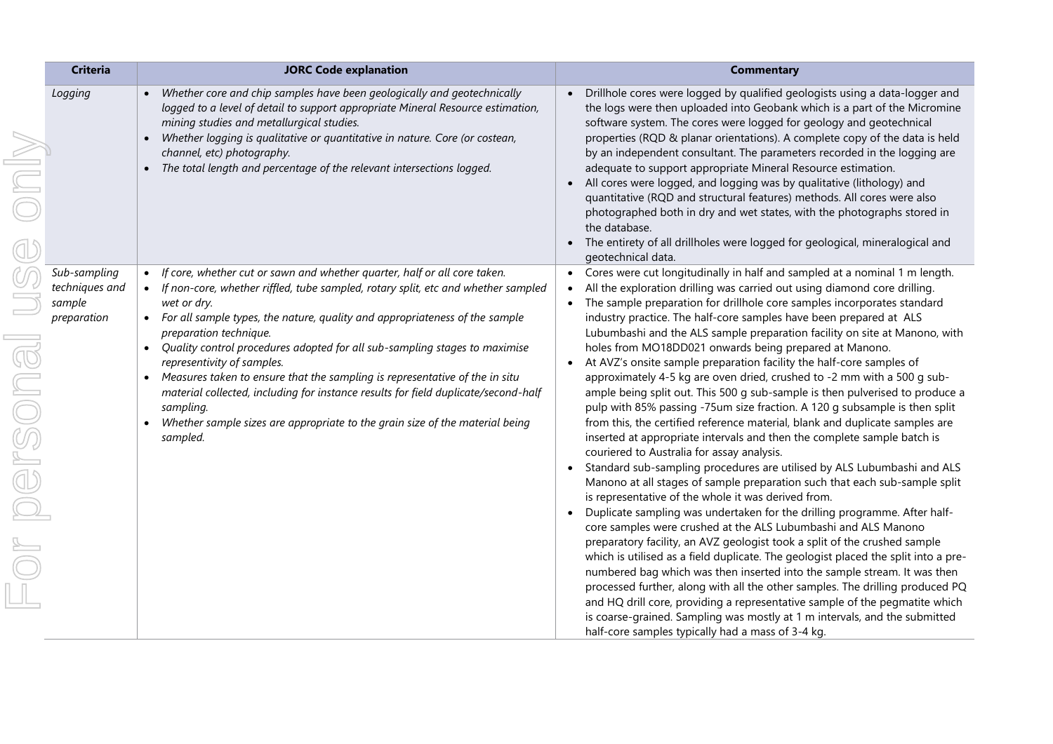|        | <b>Criteria</b>                                         | <b>JORC Code explanation</b>                                                                                                                                                                                                                                                                                                                                                                                                                                                                                                                                                                                                                                                                                     | <b>Commentary</b>                                                                                                                                                                                                                                                                                                                                                                                                                                                                                                                                                                                                                                                                                                                                                                                                                                                                                                                                                                                                                                                                                                                                                                                                                                                                                                                                                                                                                                                                                                                                                                                                                                                                                                                                                                                                                                                                           |
|--------|---------------------------------------------------------|------------------------------------------------------------------------------------------------------------------------------------------------------------------------------------------------------------------------------------------------------------------------------------------------------------------------------------------------------------------------------------------------------------------------------------------------------------------------------------------------------------------------------------------------------------------------------------------------------------------------------------------------------------------------------------------------------------------|---------------------------------------------------------------------------------------------------------------------------------------------------------------------------------------------------------------------------------------------------------------------------------------------------------------------------------------------------------------------------------------------------------------------------------------------------------------------------------------------------------------------------------------------------------------------------------------------------------------------------------------------------------------------------------------------------------------------------------------------------------------------------------------------------------------------------------------------------------------------------------------------------------------------------------------------------------------------------------------------------------------------------------------------------------------------------------------------------------------------------------------------------------------------------------------------------------------------------------------------------------------------------------------------------------------------------------------------------------------------------------------------------------------------------------------------------------------------------------------------------------------------------------------------------------------------------------------------------------------------------------------------------------------------------------------------------------------------------------------------------------------------------------------------------------------------------------------------------------------------------------------------|
| MIUS   | Logging                                                 | Whether core and chip samples have been geologically and geotechnically<br>logged to a level of detail to support appropriate Mineral Resource estimation,<br>mining studies and metallurgical studies.<br>Whether logging is qualitative or quantitative in nature. Core (or costean,<br>channel, etc) photography.<br>• The total length and percentage of the relevant intersections logged.                                                                                                                                                                                                                                                                                                                  | Drillhole cores were logged by qualified geologists using a data-logger and<br>the logs were then uploaded into Geobank which is a part of the Micromine<br>software system. The cores were logged for geology and geotechnical<br>properties (RQD & planar orientations). A complete copy of the data is held<br>by an independent consultant. The parameters recorded in the logging are<br>adequate to support appropriate Mineral Resource estimation.<br>All cores were logged, and logging was by qualitative (lithology) and<br>quantitative (RQD and structural features) methods. All cores were also<br>photographed both in dry and wet states, with the photographs stored in<br>the database.<br>The entirety of all drillholes were logged for geological, mineralogical and<br>geotechnical data.                                                                                                                                                                                                                                                                                                                                                                                                                                                                                                                                                                                                                                                                                                                                                                                                                                                                                                                                                                                                                                                                            |
| person | Sub-sampling<br>techniques and<br>sample<br>preparation | • If core, whether cut or sawn and whether quarter, half or all core taken.<br>• If non-core, whether riffled, tube sampled, rotary split, etc and whether sampled<br>wet or dry.<br>• For all sample types, the nature, quality and appropriateness of the sample<br>preparation technique.<br>Quality control procedures adopted for all sub-sampling stages to maximise<br>$\bullet$<br>representivity of samples.<br>Measures taken to ensure that the sampling is representative of the in situ<br>$\bullet$<br>material collected, including for instance results for field duplicate/second-half<br>sampling.<br>Whether sample sizes are appropriate to the grain size of the material being<br>sampled. | Cores were cut longitudinally in half and sampled at a nominal 1 m length.<br>All the exploration drilling was carried out using diamond core drilling.<br>The sample preparation for drillhole core samples incorporates standard<br>industry practice. The half-core samples have been prepared at ALS<br>Lubumbashi and the ALS sample preparation facility on site at Manono, with<br>holes from MO18DD021 onwards being prepared at Manono.<br>At AVZ's onsite sample preparation facility the half-core samples of<br>approximately 4-5 kg are oven dried, crushed to -2 mm with a 500 g sub-<br>ample being split out. This 500 g sub-sample is then pulverised to produce a<br>pulp with 85% passing -75um size fraction. A 120 g subsample is then split<br>from this, the certified reference material, blank and duplicate samples are<br>inserted at appropriate intervals and then the complete sample batch is<br>couriered to Australia for assay analysis.<br>Standard sub-sampling procedures are utilised by ALS Lubumbashi and ALS<br>Manono at all stages of sample preparation such that each sub-sample split<br>is representative of the whole it was derived from.<br>Duplicate sampling was undertaken for the drilling programme. After half-<br>core samples were crushed at the ALS Lubumbashi and ALS Manono<br>preparatory facility, an AVZ geologist took a split of the crushed sample<br>which is utilised as a field duplicate. The geologist placed the split into a pre-<br>numbered bag which was then inserted into the sample stream. It was then<br>processed further, along with all the other samples. The drilling produced PQ<br>and HQ drill core, providing a representative sample of the pegmatite which<br>is coarse-grained. Sampling was mostly at 1 m intervals, and the submitted<br>half-core samples typically had a mass of 3-4 kg. |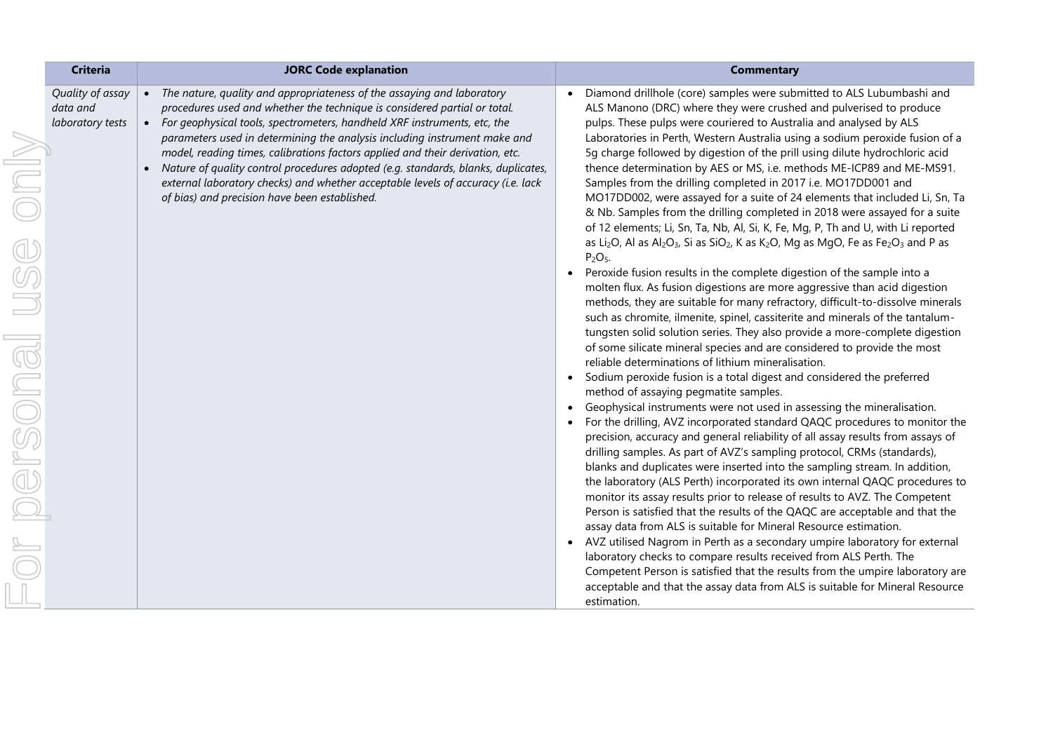| <b>Criteria</b><br><b>JORC Code explanation</b>                                                                                                                                                                                                                                                                                                                                                                                                                                                                                                                                                                                                                                 | <b>Commentary</b>                                                                                                                                                                                                                                                                                                                                                                                                                                                                                                                                                                                                                                                                                                                                                                                                                                                                                                                                                                                                                                                                                                                                                                                                                                                                                                                                                                                                                                                                                                                                                                                                                                                                                                                                                                                                                                                                                                                                                                                                                                                                                                                                                                                                                                                                                                                                                                                                                                                                                                                                                                                                                                                                                                             |
|---------------------------------------------------------------------------------------------------------------------------------------------------------------------------------------------------------------------------------------------------------------------------------------------------------------------------------------------------------------------------------------------------------------------------------------------------------------------------------------------------------------------------------------------------------------------------------------------------------------------------------------------------------------------------------|-------------------------------------------------------------------------------------------------------------------------------------------------------------------------------------------------------------------------------------------------------------------------------------------------------------------------------------------------------------------------------------------------------------------------------------------------------------------------------------------------------------------------------------------------------------------------------------------------------------------------------------------------------------------------------------------------------------------------------------------------------------------------------------------------------------------------------------------------------------------------------------------------------------------------------------------------------------------------------------------------------------------------------------------------------------------------------------------------------------------------------------------------------------------------------------------------------------------------------------------------------------------------------------------------------------------------------------------------------------------------------------------------------------------------------------------------------------------------------------------------------------------------------------------------------------------------------------------------------------------------------------------------------------------------------------------------------------------------------------------------------------------------------------------------------------------------------------------------------------------------------------------------------------------------------------------------------------------------------------------------------------------------------------------------------------------------------------------------------------------------------------------------------------------------------------------------------------------------------------------------------------------------------------------------------------------------------------------------------------------------------------------------------------------------------------------------------------------------------------------------------------------------------------------------------------------------------------------------------------------------------------------------------------------------------------------------------------------------------|
| Quality of assay<br>• The nature, quality and appropriateness of the assaying and laboratory<br>procedures used and whether the technique is considered partial or total.<br>data and<br>• For geophysical tools, spectrometers, handheld XRF instruments, etc, the<br>laboratory tests<br>parameters used in determining the analysis including instrument make and<br>model, reading times, calibrations factors applied and their derivation, etc.<br>Nature of quality control procedures adopted (e.g. standards, blanks, duplicates,<br>external laboratory checks) and whether acceptable levels of accuracy (i.e. lack<br>of bias) and precision have been established. | Diamond drillhole (core) samples were submitted to ALS Lubumbashi and<br>ALS Manono (DRC) where they were crushed and pulverised to produce<br>pulps. These pulps were couriered to Australia and analysed by ALS<br>Laboratories in Perth, Western Australia using a sodium peroxide fusion of a<br>5g charge followed by digestion of the prill using dilute hydrochloric acid<br>thence determination by AES or MS, i.e. methods ME-ICP89 and ME-MS91.<br>Samples from the drilling completed in 2017 i.e. MO17DD001 and<br>MO17DD002, were assayed for a suite of 24 elements that included Li, Sn, Ta<br>& Nb. Samples from the drilling completed in 2018 were assayed for a suite<br>of 12 elements; Li, Sn, Ta, Nb, Al, Si, K, Fe, Mg, P, Th and U, with Li reported<br>as Li <sub>2</sub> O, Al as Al <sub>2</sub> O <sub>3</sub> , Si as SiO <sub>2</sub> , K as K <sub>2</sub> O, Mg as MgO, Fe as Fe <sub>2</sub> O <sub>3</sub> and P as<br>$P2O5$ .<br>Peroxide fusion results in the complete digestion of the sample into a<br>$\bullet$<br>molten flux. As fusion digestions are more aggressive than acid digestion<br>methods, they are suitable for many refractory, difficult-to-dissolve minerals<br>such as chromite, ilmenite, spinel, cassiterite and minerals of the tantalum-<br>tungsten solid solution series. They also provide a more-complete digestion<br>of some silicate mineral species and are considered to provide the most<br>reliable determinations of lithium mineralisation.<br>Sodium peroxide fusion is a total digest and considered the preferred<br>method of assaying pegmatite samples.<br>Geophysical instruments were not used in assessing the mineralisation.<br>For the drilling, AVZ incorporated standard QAQC procedures to monitor the<br>$\bullet$<br>precision, accuracy and general reliability of all assay results from assays of<br>drilling samples. As part of AVZ's sampling protocol, CRMs (standards),<br>blanks and duplicates were inserted into the sampling stream. In addition,<br>the laboratory (ALS Perth) incorporated its own internal QAQC procedures to<br>monitor its assay results prior to release of results to AVZ. The Competent<br>Person is satisfied that the results of the QAQC are acceptable and that the<br>assay data from ALS is suitable for Mineral Resource estimation.<br>AVZ utilised Nagrom in Perth as a secondary umpire laboratory for external<br>$\bullet$<br>laboratory checks to compare results received from ALS Perth. The<br>Competent Person is satisfied that the results from the umpire laboratory are<br>acceptable and that the assay data from ALS is suitable for Mineral Resource<br>estimation. |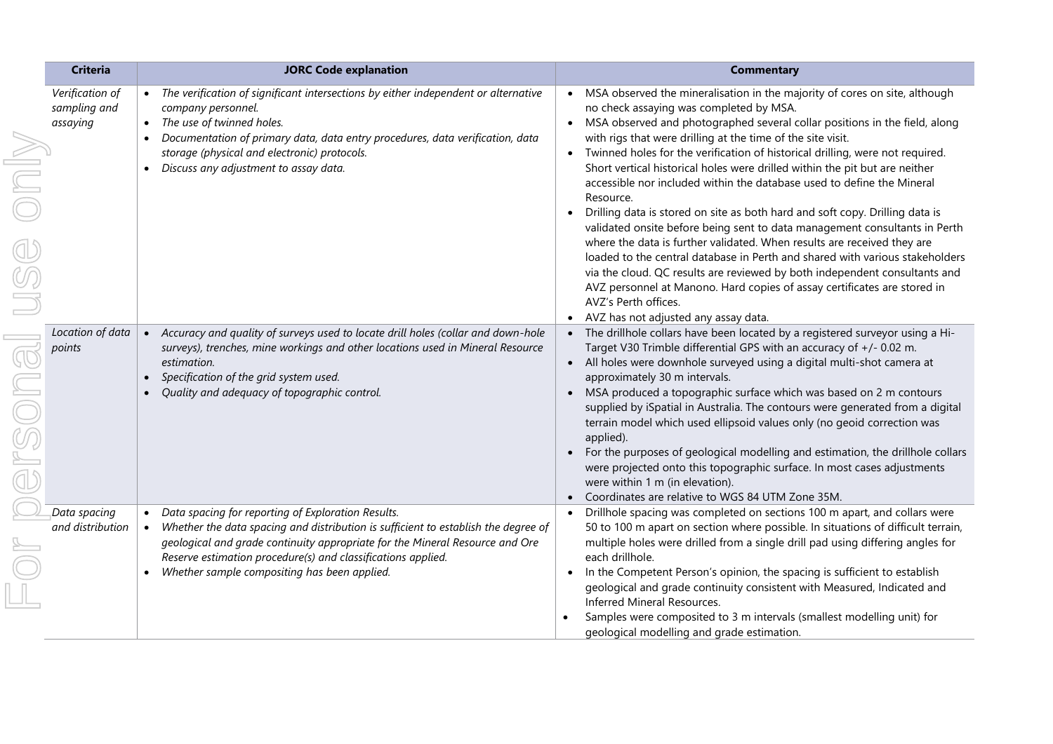|                            | <b>Criteria</b>                             | <b>JORC Code explanation</b>                                                                                                                                                                                                                                                                                                                                       | <b>Commentary</b>                                                                                                                                                                                                                                                                                                                                                                                                                                                                                                                                                                                                                                                                                                                                                                                                                                                                                                                                                                                                                                                                                                   |
|----------------------------|---------------------------------------------|--------------------------------------------------------------------------------------------------------------------------------------------------------------------------------------------------------------------------------------------------------------------------------------------------------------------------------------------------------------------|---------------------------------------------------------------------------------------------------------------------------------------------------------------------------------------------------------------------------------------------------------------------------------------------------------------------------------------------------------------------------------------------------------------------------------------------------------------------------------------------------------------------------------------------------------------------------------------------------------------------------------------------------------------------------------------------------------------------------------------------------------------------------------------------------------------------------------------------------------------------------------------------------------------------------------------------------------------------------------------------------------------------------------------------------------------------------------------------------------------------|
|                            | Verification of<br>sampling and<br>assaying | • The verification of significant intersections by either independent or alternative<br>company personnel.<br>The use of twinned holes.<br>$\bullet$<br>Documentation of primary data, data entry procedures, data verification, data<br>$\bullet$<br>storage (physical and electronic) protocols.<br>Discuss any adjustment to assay data.                        | MSA observed the mineralisation in the majority of cores on site, although<br>$\bullet$<br>no check assaying was completed by MSA.<br>MSA observed and photographed several collar positions in the field, along<br>$\bullet$<br>with rigs that were drilling at the time of the site visit.<br>Twinned holes for the verification of historical drilling, were not required.<br>Short vertical historical holes were drilled within the pit but are neither<br>accessible nor included within the database used to define the Mineral<br>Resource.<br>Drilling data is stored on site as both hard and soft copy. Drilling data is<br>validated onsite before being sent to data management consultants in Perth<br>where the data is further validated. When results are received they are<br>loaded to the central database in Perth and shared with various stakeholders<br>via the cloud. QC results are reviewed by both independent consultants and<br>AVZ personnel at Manono. Hard copies of assay certificates are stored in<br>AVZ's Perth offices.<br>AVZ has not adjusted any assay data.<br>$\bullet$ |
| $\bigoplus \mathbb{F}$ sol | Location of data<br>points                  | • Accuracy and quality of surveys used to locate drill holes (collar and down-hole<br>surveys), trenches, mine workings and other locations used in Mineral Resource<br>estimation.<br>Specification of the grid system used.<br>Quality and adequacy of topographic control.                                                                                      | The drillhole collars have been located by a registered surveyor using a Hi-<br>Target V30 Trimble differential GPS with an accuracy of +/- 0.02 m.<br>All holes were downhole surveyed using a digital multi-shot camera at<br>approximately 30 m intervals.<br>MSA produced a topographic surface which was based on 2 m contours<br>supplied by iSpatial in Australia. The contours were generated from a digital<br>terrain model which used ellipsoid values only (no geoid correction was<br>applied).<br>For the purposes of geological modelling and estimation, the drillhole collars<br>were projected onto this topographic surface. In most cases adjustments<br>were within 1 m (in elevation).<br>Coordinates are relative to WGS 84 UTM Zone 35M.                                                                                                                                                                                                                                                                                                                                                    |
|                            | Data spacing<br>and distribution            | Data spacing for reporting of Exploration Results.<br>Whether the data spacing and distribution is sufficient to establish the degree of<br>$\bullet$<br>geological and grade continuity appropriate for the Mineral Resource and Ore<br>Reserve estimation procedure(s) and classifications applied.<br>Whether sample compositing has been applied.<br>$\bullet$ | Drillhole spacing was completed on sections 100 m apart, and collars were<br>$\bullet$<br>50 to 100 m apart on section where possible. In situations of difficult terrain,<br>multiple holes were drilled from a single drill pad using differing angles for<br>each drillhole.<br>In the Competent Person's opinion, the spacing is sufficient to establish<br>$\bullet$<br>geological and grade continuity consistent with Measured, Indicated and<br>Inferred Mineral Resources.<br>Samples were composited to 3 m intervals (smallest modelling unit) for<br>geological modelling and grade estimation.                                                                                                                                                                                                                                                                                                                                                                                                                                                                                                         |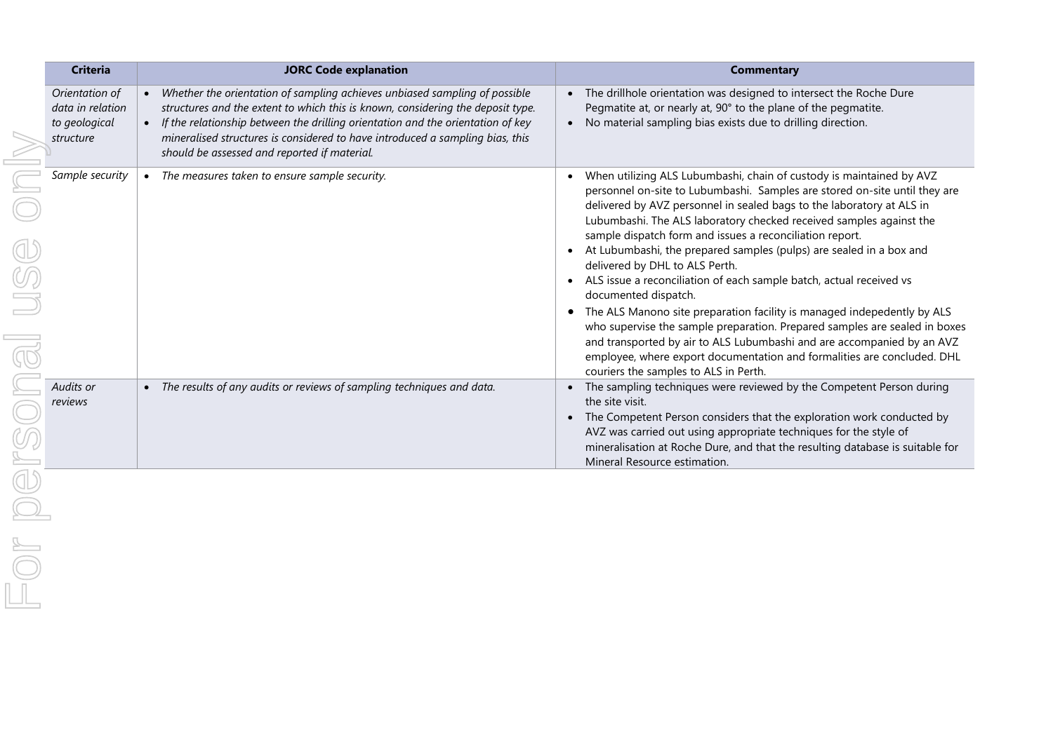| <b>Criteria</b>                                                  | <b>JORC Code explanation</b>                                                                                                                                                                                                                                                                                                                                                        | <b>Commentary</b>                                                                                                                                                                                                                                                                                                                                                                                                                                                                                                                                                      |
|------------------------------------------------------------------|-------------------------------------------------------------------------------------------------------------------------------------------------------------------------------------------------------------------------------------------------------------------------------------------------------------------------------------------------------------------------------------|------------------------------------------------------------------------------------------------------------------------------------------------------------------------------------------------------------------------------------------------------------------------------------------------------------------------------------------------------------------------------------------------------------------------------------------------------------------------------------------------------------------------------------------------------------------------|
| Orientation of<br>data in relation<br>to geological<br>structure | Whether the orientation of sampling achieves unbiased sampling of possible<br>structures and the extent to which this is known, considering the deposit type.<br>• If the relationship between the drilling orientation and the orientation of key<br>mineralised structures is considered to have introduced a sampling bias, this<br>should be assessed and reported if material. | The drillhole orientation was designed to intersect the Roche Dure<br>Pegmatite at, or nearly at, 90° to the plane of the pegmatite.<br>No material sampling bias exists due to drilling direction.                                                                                                                                                                                                                                                                                                                                                                    |
| Sample security                                                  | The measures taken to ensure sample security.                                                                                                                                                                                                                                                                                                                                       | When utilizing ALS Lubumbashi, chain of custody is maintained by AVZ<br>personnel on-site to Lubumbashi. Samples are stored on-site until they are<br>delivered by AVZ personnel in sealed bags to the laboratory at ALS in<br>Lubumbashi. The ALS laboratory checked received samples against the<br>sample dispatch form and issues a reconciliation report.<br>At Lubumbashi, the prepared samples (pulps) are sealed in a box and<br>delivered by DHL to ALS Perth.<br>ALS issue a reconciliation of each sample batch, actual received vs<br>documented dispatch. |
|                                                                  |                                                                                                                                                                                                                                                                                                                                                                                     | The ALS Manono site preparation facility is managed indepedently by ALS<br>who supervise the sample preparation. Prepared samples are sealed in boxes<br>and transported by air to ALS Lubumbashi and are accompanied by an AVZ<br>employee, where export documentation and formalities are concluded. DHL<br>couriers the samples to ALS in Perth.                                                                                                                                                                                                                    |
| Audits or<br>reviews                                             | The results of any audits or reviews of sampling techniques and data.<br>$\bullet$                                                                                                                                                                                                                                                                                                  | The sampling techniques were reviewed by the Competent Person during<br>the site visit.<br>The Competent Person considers that the exploration work conducted by<br>AVZ was carried out using appropriate techniques for the style of<br>mineralisation at Roche Dure, and that the resulting database is suitable for<br>Mineral Resource estimation.                                                                                                                                                                                                                 |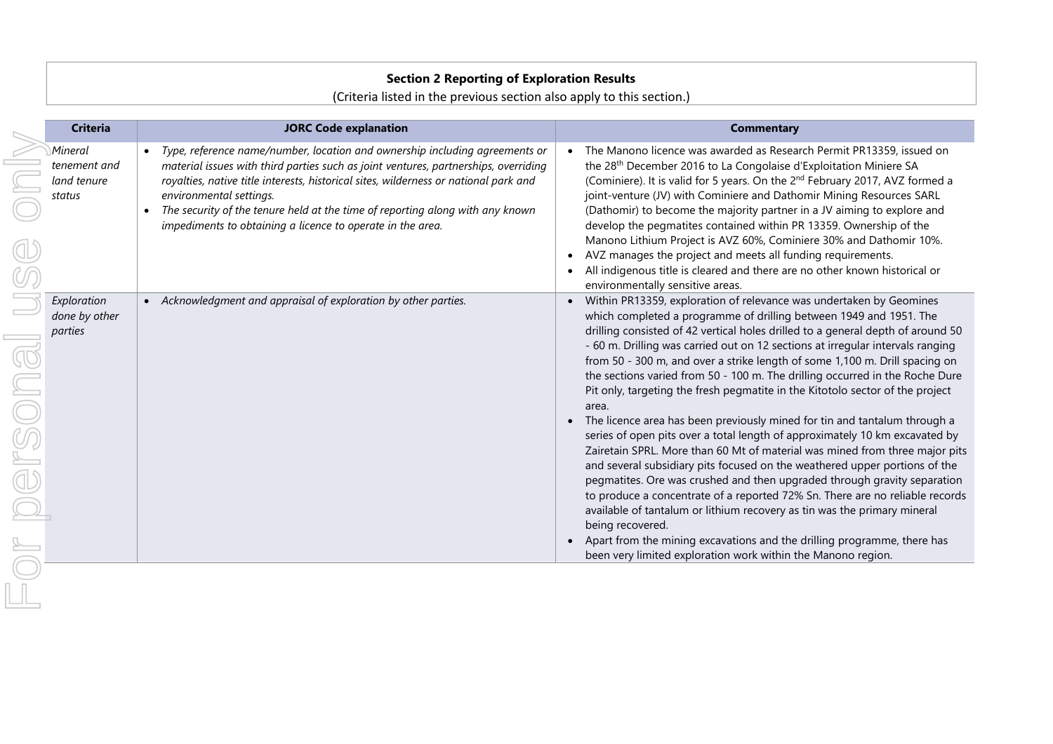## **Section 2 Reporting of Exploration Results**

(Criteria listed in the previous section also apply to this section.)

| <b>Criteria</b>                                  | <b>JORC Code explanation</b>                                                                                                                                                                                                                                                                                                                                                                                                                      | <b>Commentary</b>                                                                                                                                                                                                                                                                                                                                                                                                                                                                                                                                                                                                                                                                                                                                                                                                                                                                                                                                                                                                                                                                                                                                                                                                                                                                                       |
|--------------------------------------------------|---------------------------------------------------------------------------------------------------------------------------------------------------------------------------------------------------------------------------------------------------------------------------------------------------------------------------------------------------------------------------------------------------------------------------------------------------|---------------------------------------------------------------------------------------------------------------------------------------------------------------------------------------------------------------------------------------------------------------------------------------------------------------------------------------------------------------------------------------------------------------------------------------------------------------------------------------------------------------------------------------------------------------------------------------------------------------------------------------------------------------------------------------------------------------------------------------------------------------------------------------------------------------------------------------------------------------------------------------------------------------------------------------------------------------------------------------------------------------------------------------------------------------------------------------------------------------------------------------------------------------------------------------------------------------------------------------------------------------------------------------------------------|
| Mineral<br>tenement and<br>land tenure<br>status | Type, reference name/number, location and ownership including agreements or<br>material issues with third parties such as joint ventures, partnerships, overriding<br>royalties, native title interests, historical sites, wilderness or national park and<br>environmental settings.<br>The security of the tenure held at the time of reporting along with any known<br>$\bullet$<br>impediments to obtaining a licence to operate in the area. | The Manono licence was awarded as Research Permit PR13359, issued on<br>the 28 <sup>th</sup> December 2016 to La Congolaise d'Exploitation Miniere SA<br>(Cominiere). It is valid for 5 years. On the 2 <sup>nd</sup> February 2017, AVZ formed a<br>joint-venture (JV) with Cominiere and Dathomir Mining Resources SARL<br>(Dathomir) to become the majority partner in a JV aiming to explore and<br>develop the pegmatites contained within PR 13359. Ownership of the<br>Manono Lithium Project is AVZ 60%, Cominiere 30% and Dathomir 10%.<br>AVZ manages the project and meets all funding requirements.<br>All indigenous title is cleared and there are no other known historical or<br>environmentally sensitive areas.                                                                                                                                                                                                                                                                                                                                                                                                                                                                                                                                                                       |
| Exploration<br>done by other<br>parties          | • Acknowledgment and appraisal of exploration by other parties.                                                                                                                                                                                                                                                                                                                                                                                   | Within PR13359, exploration of relevance was undertaken by Geomines<br>which completed a programme of drilling between 1949 and 1951. The<br>drilling consisted of 42 vertical holes drilled to a general depth of around 50<br>- 60 m. Drilling was carried out on 12 sections at irregular intervals ranging<br>from 50 - 300 m, and over a strike length of some 1,100 m. Drill spacing on<br>the sections varied from 50 - 100 m. The drilling occurred in the Roche Dure<br>Pit only, targeting the fresh pegmatite in the Kitotolo sector of the project<br>area.<br>The licence area has been previously mined for tin and tantalum through a<br>series of open pits over a total length of approximately 10 km excavated by<br>Zairetain SPRL. More than 60 Mt of material was mined from three major pits<br>and several subsidiary pits focused on the weathered upper portions of the<br>pegmatites. Ore was crushed and then upgraded through gravity separation<br>to produce a concentrate of a reported 72% Sn. There are no reliable records<br>available of tantalum or lithium recovery as tin was the primary mineral<br>being recovered.<br>Apart from the mining excavations and the drilling programme, there has<br>been very limited exploration work within the Manono region. |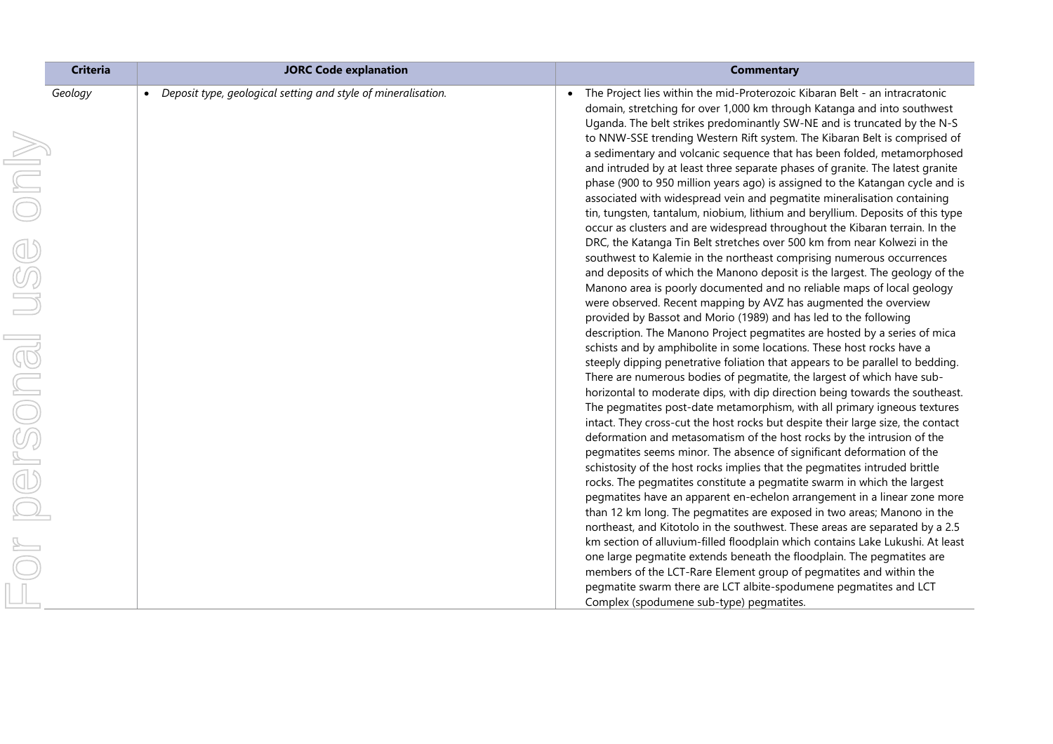| <b>Criteria</b> | <b>JORC Code explanation</b>                                               | <b>Commentary</b>                                                                                                                                                                                                                                                                                                                                                                                                                                                                                                                                            |
|-----------------|----------------------------------------------------------------------------|--------------------------------------------------------------------------------------------------------------------------------------------------------------------------------------------------------------------------------------------------------------------------------------------------------------------------------------------------------------------------------------------------------------------------------------------------------------------------------------------------------------------------------------------------------------|
| Geology<br>Only | Deposit type, geological setting and style of mineralisation.<br>$\bullet$ | The Project lies within the mid-Proterozoic Kibaran Belt - an intracratonic<br>domain, stretching for over 1,000 km through Katanga and into southwest<br>Uganda. The belt strikes predominantly SW-NE and is truncated by the N-S<br>to NNW-SSE trending Western Rift system. The Kibaran Belt is comprised of<br>a sedimentary and volcanic sequence that has been folded, metamorphosed<br>and intruded by at least three separate phases of granite. The latest granite<br>phase (900 to 950 million years ago) is assigned to the Katangan cycle and is |
|                 |                                                                            | associated with widespread vein and pegmatite mineralisation containing<br>tin, tungsten, tantalum, niobium, lithium and beryllium. Deposits of this type<br>occur as clusters and are widespread throughout the Kibaran terrain. In the<br>DRC, the Katanga Tin Belt stretches over 500 km from near Kolwezi in the                                                                                                                                                                                                                                         |
| USS             |                                                                            | southwest to Kalemie in the northeast comprising numerous occurrences<br>and deposits of which the Manono deposit is the largest. The geology of the<br>Manono area is poorly documented and no reliable maps of local geology                                                                                                                                                                                                                                                                                                                               |
|                 |                                                                            | were observed. Recent mapping by AVZ has augmented the overview<br>provided by Bassot and Morio (1989) and has led to the following<br>description. The Manono Project pegmatites are hosted by a series of mica<br>schists and by amphibolite in some locations. These host rocks have a                                                                                                                                                                                                                                                                    |
|                 |                                                                            | steeply dipping penetrative foliation that appears to be parallel to bedding.<br>There are numerous bodies of pegmatite, the largest of which have sub-<br>horizontal to moderate dips, with dip direction being towards the southeast.<br>The pegmatites post-date metamorphism, with all primary igneous textures                                                                                                                                                                                                                                          |
| r personal      |                                                                            | intact. They cross-cut the host rocks but despite their large size, the contact<br>deformation and metasomatism of the host rocks by the intrusion of the<br>pegmatites seems minor. The absence of significant deformation of the<br>schistosity of the host rocks implies that the pegmatites intruded brittle                                                                                                                                                                                                                                             |
|                 |                                                                            | rocks. The pegmatites constitute a pegmatite swarm in which the largest<br>pegmatites have an apparent en-echelon arrangement in a linear zone more<br>than 12 km long. The pegmatites are exposed in two areas; Manono in the<br>northeast, and Kitotolo in the southwest. These areas are separated by a 2.5                                                                                                                                                                                                                                               |
|                 |                                                                            | km section of alluvium-filled floodplain which contains Lake Lukushi. At least<br>one large pegmatite extends beneath the floodplain. The pegmatites are<br>members of the LCT-Rare Element group of pegmatites and within the                                                                                                                                                                                                                                                                                                                               |
|                 |                                                                            | pegmatite swarm there are LCT albite-spodumene pegmatites and LCT<br>Complex (spodumene sub-type) pegmatites.                                                                                                                                                                                                                                                                                                                                                                                                                                                |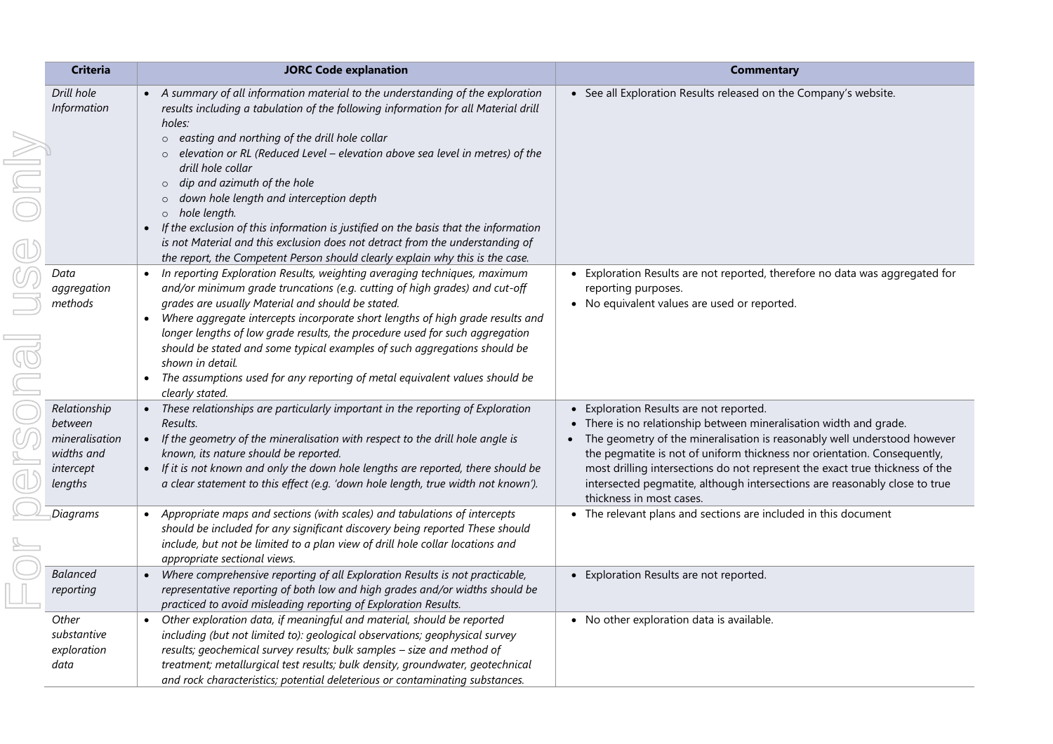| <b>Criteria</b>                                                                 | <b>JORC Code explanation</b>                                                                                                                                                                                                                                                                                                                                                                                                                                                                                                                                                                                                                                                                                       | <b>Commentary</b>                                                                                                                                                                                                                                                                                                                                                                                                                                                        |
|---------------------------------------------------------------------------------|--------------------------------------------------------------------------------------------------------------------------------------------------------------------------------------------------------------------------------------------------------------------------------------------------------------------------------------------------------------------------------------------------------------------------------------------------------------------------------------------------------------------------------------------------------------------------------------------------------------------------------------------------------------------------------------------------------------------|--------------------------------------------------------------------------------------------------------------------------------------------------------------------------------------------------------------------------------------------------------------------------------------------------------------------------------------------------------------------------------------------------------------------------------------------------------------------------|
| Drill hole<br>Information                                                       | • A summary of all information material to the understanding of the exploration<br>results including a tabulation of the following information for all Material drill<br>holes:<br>o easting and northing of the drill hole collar<br>elevation or RL (Reduced Level - elevation above sea level in metres) of the<br>drill hole collar<br>dip and azimuth of the hole<br>$\circ$<br>down hole length and interception depth<br>$\circ$<br>o hole length.<br>If the exclusion of this information is justified on the basis that the information<br>is not Material and this exclusion does not detract from the understanding of<br>the report, the Competent Person should clearly explain why this is the case. | • See all Exploration Results released on the Company's website.                                                                                                                                                                                                                                                                                                                                                                                                         |
| Data<br>aggregation<br>methods                                                  | In reporting Exploration Results, weighting averaging techniques, maximum<br>$\bullet$<br>and/or minimum grade truncations (e.g. cutting of high grades) and cut-off<br>grades are usually Material and should be stated.<br>Where aggregate intercepts incorporate short lengths of high grade results and<br>longer lengths of low grade results, the procedure used for such aggregation<br>should be stated and some typical examples of such aggregations should be<br>shown in detail.<br>The assumptions used for any reporting of metal equivalent values should be<br>$\bullet$<br>clearly stated.                                                                                                        | • Exploration Results are not reported, therefore no data was aggregated for<br>reporting purposes.<br>• No equivalent values are used or reported.                                                                                                                                                                                                                                                                                                                      |
| Relationship<br>between<br>mineralisation<br>widths and<br>intercept<br>lengths | • These relationships are particularly important in the reporting of Exploration<br>Results.<br>• If the geometry of the mineralisation with respect to the drill hole angle is<br>known, its nature should be reported.<br>If it is not known and only the down hole lengths are reported, there should be<br>$\bullet$<br>a clear statement to this effect (e.g. 'down hole length, true width not known').                                                                                                                                                                                                                                                                                                      | Exploration Results are not reported.<br>There is no relationship between mineralisation width and grade.<br>The geometry of the mineralisation is reasonably well understood however<br>$\bullet$<br>the pegmatite is not of uniform thickness nor orientation. Consequently,<br>most drilling intersections do not represent the exact true thickness of the<br>intersected pegmatite, although intersections are reasonably close to true<br>thickness in most cases. |
| Diagrams                                                                        | • Appropriate maps and sections (with scales) and tabulations of intercepts<br>should be included for any significant discovery being reported These should<br>include, but not be limited to a plan view of drill hole collar locations and<br>appropriate sectional views.                                                                                                                                                                                                                                                                                                                                                                                                                                       | • The relevant plans and sections are included in this document                                                                                                                                                                                                                                                                                                                                                                                                          |
| <b>Balanced</b><br>reporting                                                    | Where comprehensive reporting of all Exploration Results is not practicable,<br>$\bullet$<br>representative reporting of both low and high grades and/or widths should be<br>practiced to avoid misleading reporting of Exploration Results.                                                                                                                                                                                                                                                                                                                                                                                                                                                                       | • Exploration Results are not reported.                                                                                                                                                                                                                                                                                                                                                                                                                                  |
| Other<br>substantive<br>exploration<br>data                                     | Other exploration data, if meaningful and material, should be reported<br>including (but not limited to): geological observations; geophysical survey<br>results; geochemical survey results; bulk samples - size and method of<br>treatment; metallurgical test results; bulk density, groundwater, geotechnical<br>and rock characteristics; potential deleterious or contaminating substances.                                                                                                                                                                                                                                                                                                                  | • No other exploration data is available.                                                                                                                                                                                                                                                                                                                                                                                                                                |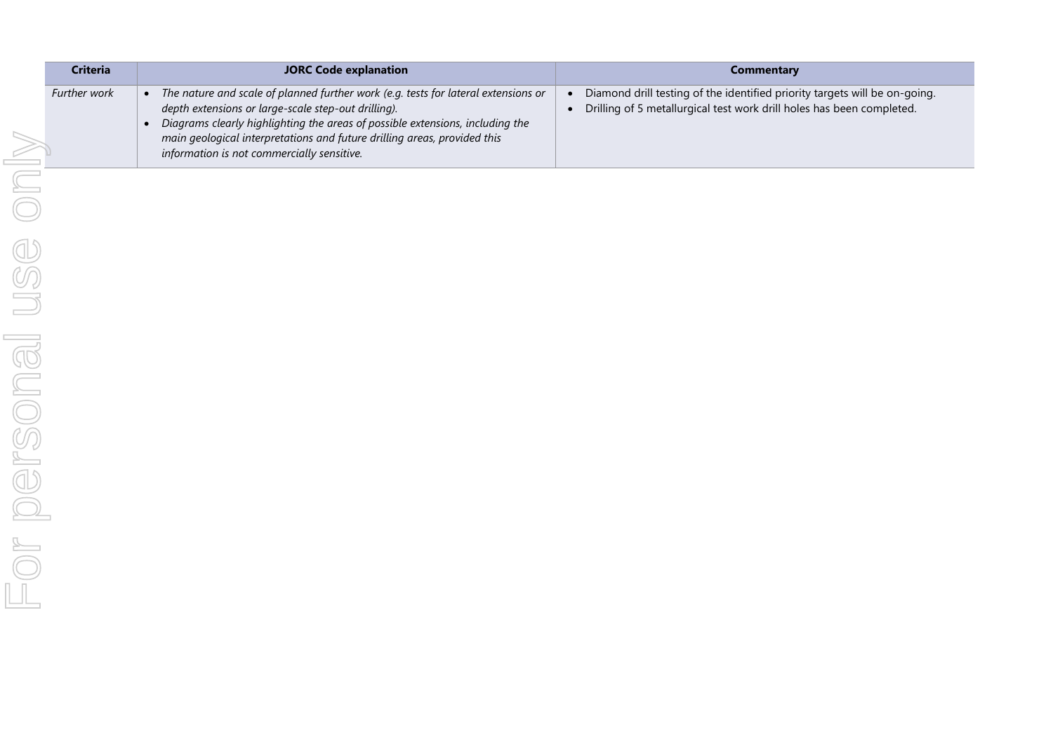| <b>Criteria</b> | <b>JORC Code explanation</b>                                                                                                                                                                                                                                                                                                                         | <b>Commentary</b>                                                                                                                                   |
|-----------------|------------------------------------------------------------------------------------------------------------------------------------------------------------------------------------------------------------------------------------------------------------------------------------------------------------------------------------------------------|-----------------------------------------------------------------------------------------------------------------------------------------------------|
| Further work    | The nature and scale of planned further work (e.g. tests for lateral extensions or<br>depth extensions or large-scale step-out drilling).<br>Diagrams clearly highlighting the areas of possible extensions, including the<br>main geological interpretations and future drilling areas, provided this<br>information is not commercially sensitive. | Diamond drill testing of the identified priority targets will be on-going.<br>Drilling of 5 metallurgical test work drill holes has been completed. |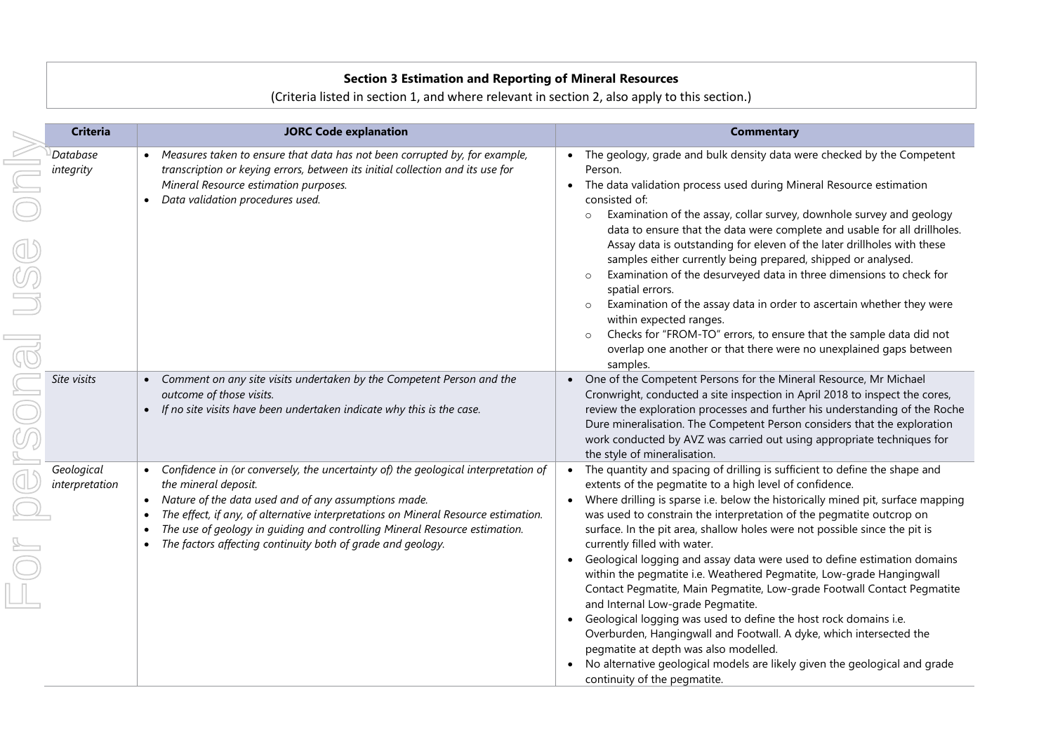## **Section 3 Estimation and Reporting of Mineral Resources**

## (Criteria listed in section 1, and where relevant in section 2, also apply to this section.)

| <b>Criteria</b>              | <b>JORC Code explanation</b>                                                                                                                                                                                                                                                                                                                                                                                         | <b>Commentary</b>                                                                                                                                                                                                                                                                                                                                                                                                                                                                                                                                                                                                                                                                                                                                                                                                                                                                                                                                                                    |
|------------------------------|----------------------------------------------------------------------------------------------------------------------------------------------------------------------------------------------------------------------------------------------------------------------------------------------------------------------------------------------------------------------------------------------------------------------|--------------------------------------------------------------------------------------------------------------------------------------------------------------------------------------------------------------------------------------------------------------------------------------------------------------------------------------------------------------------------------------------------------------------------------------------------------------------------------------------------------------------------------------------------------------------------------------------------------------------------------------------------------------------------------------------------------------------------------------------------------------------------------------------------------------------------------------------------------------------------------------------------------------------------------------------------------------------------------------|
| Database<br>integrity        | • Measures taken to ensure that data has not been corrupted by, for example,<br>transcription or keying errors, between its initial collection and its use for<br>Mineral Resource estimation purposes.<br>Data validation procedures used.<br>$\bullet$                                                                                                                                                             | The geology, grade and bulk density data were checked by the Competent<br>Person.<br>The data validation process used during Mineral Resource estimation<br>consisted of:<br>Examination of the assay, collar survey, downhole survey and geology<br>$\circ$<br>data to ensure that the data were complete and usable for all drillholes.<br>Assay data is outstanding for eleven of the later drillholes with these<br>samples either currently being prepared, shipped or analysed.<br>Examination of the desurveyed data in three dimensions to check for<br>$\circ$<br>spatial errors.<br>Examination of the assay data in order to ascertain whether they were<br>within expected ranges.<br>Checks for "FROM-TO" errors, to ensure that the sample data did not<br>$\circ$<br>overlap one another or that there were no unexplained gaps between<br>samples.                                                                                                                   |
| Site visits                  | Comment on any site visits undertaken by the Competent Person and the<br>$\bullet$<br>outcome of those visits.<br>If no site visits have been undertaken indicate why this is the case.                                                                                                                                                                                                                              | One of the Competent Persons for the Mineral Resource, Mr Michael<br>Cronwright, conducted a site inspection in April 2018 to inspect the cores,<br>review the exploration processes and further his understanding of the Roche<br>Dure mineralisation. The Competent Person considers that the exploration<br>work conducted by AVZ was carried out using appropriate techniques for<br>the style of mineralisation.                                                                                                                                                                                                                                                                                                                                                                                                                                                                                                                                                                |
| Geological<br>interpretation | Confidence in (or conversely, the uncertainty of) the geological interpretation of<br>$\bullet$<br>the mineral deposit.<br>• Nature of the data used and of any assumptions made.<br>The effect, if any, of alternative interpretations on Mineral Resource estimation.<br>The use of geology in guiding and controlling Mineral Resource estimation.<br>The factors affecting continuity both of grade and geology. | The quantity and spacing of drilling is sufficient to define the shape and<br>extents of the pegmatite to a high level of confidence.<br>Where drilling is sparse i.e. below the historically mined pit, surface mapping<br>was used to constrain the interpretation of the pegmatite outcrop on<br>surface. In the pit area, shallow holes were not possible since the pit is<br>currently filled with water.<br>Geological logging and assay data were used to define estimation domains<br>within the pegmatite i.e. Weathered Pegmatite, Low-grade Hangingwall<br>Contact Pegmatite, Main Pegmatite, Low-grade Footwall Contact Pegmatite<br>and Internal Low-grade Pegmatite.<br>Geological logging was used to define the host rock domains i.e.<br>Overburden, Hangingwall and Footwall. A dyke, which intersected the<br>pegmatite at depth was also modelled.<br>No alternative geological models are likely given the geological and grade<br>continuity of the pegmatite. |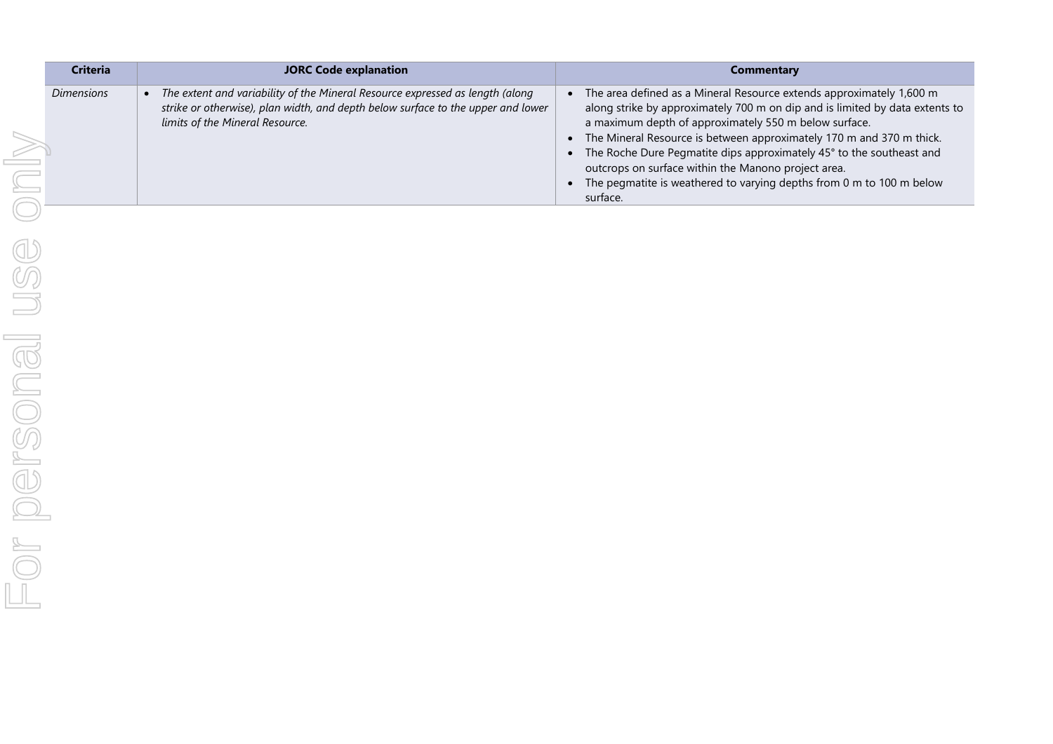| <b>Criteria</b>   | <b>JORC Code explanation</b>                                                                                                                                                                         | Commentary                                                                                                                                                                                                                                                                                                                                                                                                                                                                                               |
|-------------------|------------------------------------------------------------------------------------------------------------------------------------------------------------------------------------------------------|----------------------------------------------------------------------------------------------------------------------------------------------------------------------------------------------------------------------------------------------------------------------------------------------------------------------------------------------------------------------------------------------------------------------------------------------------------------------------------------------------------|
| <b>Dimensions</b> | The extent and variability of the Mineral Resource expressed as length (along<br>strike or otherwise), plan width, and depth below surface to the upper and lower<br>limits of the Mineral Resource. | The area defined as a Mineral Resource extends approximately 1,600 m<br>along strike by approximately 700 m on dip and is limited by data extents to<br>a maximum depth of approximately 550 m below surface.<br>The Mineral Resource is between approximately 170 m and 370 m thick.<br>The Roche Dure Pegmatite dips approximately 45° to the southeast and<br>outcrops on surface within the Manono project area.<br>The pegmatite is weathered to varying depths from 0 m to 100 m below<br>surface. |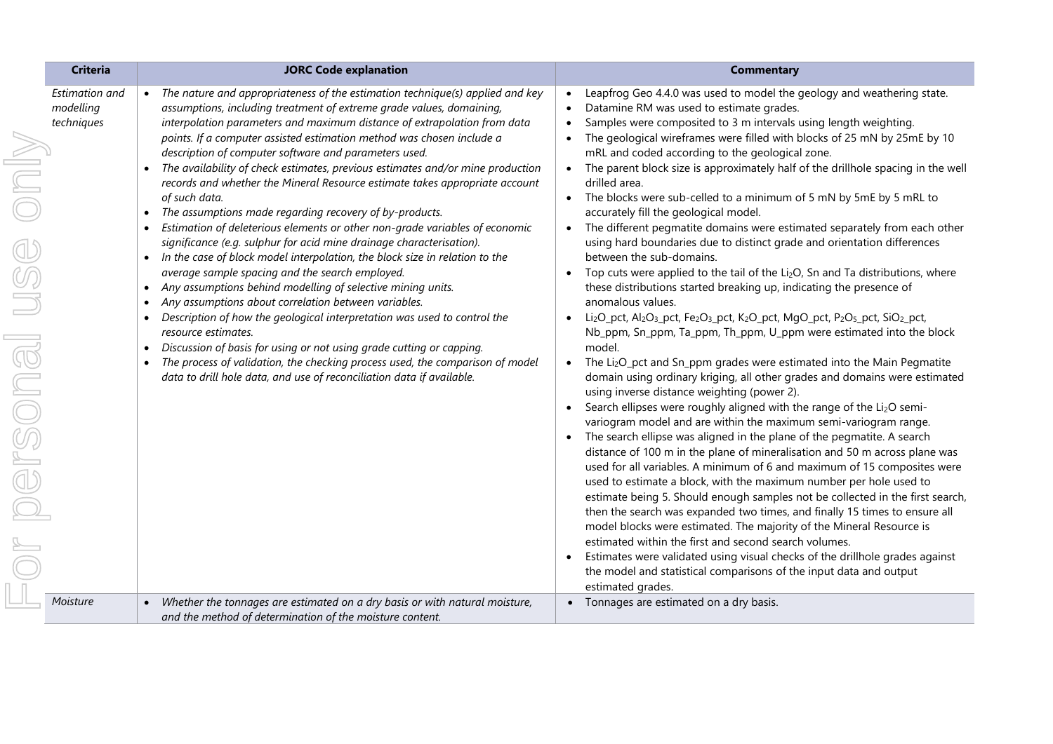| <b>Criteria</b>                           | <b>JORC Code explanation</b>                                                                                                                                                                                                                                                                                                                                                                                                                                                                                                                                                                                                                                                                                                                                                                                                                                                                                                                                                                                                                                                                                                                                                                                                                                                                                                                                                                                                           | <b>Commentary</b>                                                                                                                                                                                                                                                                                                                                                                                                                                                                                                                                                                                                                                                                                                                                                                                                                                                                                                                                                                                                                                                                                                                                                                                                                                                                                                                                                                                                                                                                                                                                                                                                                                                                                                                                                                                                                                                                                                                                                                                                                                                                                                                                                                                                                                                                                                                                                                                                                                                                |
|-------------------------------------------|----------------------------------------------------------------------------------------------------------------------------------------------------------------------------------------------------------------------------------------------------------------------------------------------------------------------------------------------------------------------------------------------------------------------------------------------------------------------------------------------------------------------------------------------------------------------------------------------------------------------------------------------------------------------------------------------------------------------------------------------------------------------------------------------------------------------------------------------------------------------------------------------------------------------------------------------------------------------------------------------------------------------------------------------------------------------------------------------------------------------------------------------------------------------------------------------------------------------------------------------------------------------------------------------------------------------------------------------------------------------------------------------------------------------------------------|----------------------------------------------------------------------------------------------------------------------------------------------------------------------------------------------------------------------------------------------------------------------------------------------------------------------------------------------------------------------------------------------------------------------------------------------------------------------------------------------------------------------------------------------------------------------------------------------------------------------------------------------------------------------------------------------------------------------------------------------------------------------------------------------------------------------------------------------------------------------------------------------------------------------------------------------------------------------------------------------------------------------------------------------------------------------------------------------------------------------------------------------------------------------------------------------------------------------------------------------------------------------------------------------------------------------------------------------------------------------------------------------------------------------------------------------------------------------------------------------------------------------------------------------------------------------------------------------------------------------------------------------------------------------------------------------------------------------------------------------------------------------------------------------------------------------------------------------------------------------------------------------------------------------------------------------------------------------------------------------------------------------------------------------------------------------------------------------------------------------------------------------------------------------------------------------------------------------------------------------------------------------------------------------------------------------------------------------------------------------------------------------------------------------------------------------------------------------------------|
| Estimation and<br>modelling<br>techniques | The nature and appropriateness of the estimation technique(s) applied and key<br>assumptions, including treatment of extreme grade values, domaining,<br>interpolation parameters and maximum distance of extrapolation from data<br>points. If a computer assisted estimation method was chosen include a<br>description of computer software and parameters used.<br>The availability of check estimates, previous estimates and/or mine production<br>records and whether the Mineral Resource estimate takes appropriate account<br>of such data.<br>The assumptions made regarding recovery of by-products.<br>$\bullet$<br>Estimation of deleterious elements or other non-grade variables of economic<br>significance (e.g. sulphur for acid mine drainage characterisation).<br>In the case of block model interpolation, the block size in relation to the<br>average sample spacing and the search employed.<br>Any assumptions behind modelling of selective mining units.<br>$\bullet$<br>Any assumptions about correlation between variables.<br>$\bullet$<br>Description of how the geological interpretation was used to control the<br>$\bullet$<br>resource estimates.<br>Discussion of basis for using or not using grade cutting or capping.<br>$\bullet$<br>The process of validation, the checking process used, the comparison of model<br>data to drill hole data, and use of reconciliation data if available. | Leapfrog Geo 4.4.0 was used to model the geology and weathering state.<br>$\bullet$<br>Datamine RM was used to estimate grades.<br>$\bullet$<br>Samples were composited to 3 m intervals using length weighting.<br>$\bullet$<br>The geological wireframes were filled with blocks of 25 mN by 25mE by 10<br>$\bullet$<br>mRL and coded according to the geological zone.<br>The parent block size is approximately half of the drillhole spacing in the well<br>$\bullet$<br>drilled area.<br>The blocks were sub-celled to a minimum of 5 mN by 5mE by 5 mRL to<br>$\bullet$<br>accurately fill the geological model.<br>The different pegmatite domains were estimated separately from each other<br>$\bullet$<br>using hard boundaries due to distinct grade and orientation differences<br>between the sub-domains.<br>Top cuts were applied to the tail of the Li <sub>2</sub> O, Sn and Ta distributions, where<br>these distributions started breaking up, indicating the presence of<br>anomalous values.<br>Li <sub>2</sub> O_pct, Al <sub>2</sub> O <sub>3</sub> _pct, Fe <sub>2</sub> O <sub>3</sub> _pct, K <sub>2</sub> O_pct, MgO_pct, P <sub>2</sub> O <sub>5</sub> _pct, SiO <sub>2</sub> _pct,<br>$\bullet$<br>Nb_ppm, Sn_ppm, Ta_ppm, Th_ppm, U_ppm were estimated into the block<br>model.<br>The Li <sub>2</sub> O_pct and Sn_ppm grades were estimated into the Main Pegmatite<br>$\bullet$<br>domain using ordinary kriging, all other grades and domains were estimated<br>using inverse distance weighting (power 2).<br>Search ellipses were roughly aligned with the range of the Li2O semi-<br>variogram model and are within the maximum semi-variogram range.<br>The search ellipse was aligned in the plane of the pegmatite. A search<br>distance of 100 m in the plane of mineralisation and 50 m across plane was<br>used for all variables. A minimum of 6 and maximum of 15 composites were<br>used to estimate a block, with the maximum number per hole used to<br>estimate being 5. Should enough samples not be collected in the first search,<br>then the search was expanded two times, and finally 15 times to ensure all<br>model blocks were estimated. The majority of the Mineral Resource is<br>estimated within the first and second search volumes.<br>Estimates were validated using visual checks of the drillhole grades against<br>the model and statistical comparisons of the input data and output<br>estimated grades. |
| Moisture                                  | Whether the tonnages are estimated on a dry basis or with natural moisture,<br>$\bullet$<br>and the method of determination of the moisture content.                                                                                                                                                                                                                                                                                                                                                                                                                                                                                                                                                                                                                                                                                                                                                                                                                                                                                                                                                                                                                                                                                                                                                                                                                                                                                   | • Tonnages are estimated on a dry basis.                                                                                                                                                                                                                                                                                                                                                                                                                                                                                                                                                                                                                                                                                                                                                                                                                                                                                                                                                                                                                                                                                                                                                                                                                                                                                                                                                                                                                                                                                                                                                                                                                                                                                                                                                                                                                                                                                                                                                                                                                                                                                                                                                                                                                                                                                                                                                                                                                                         |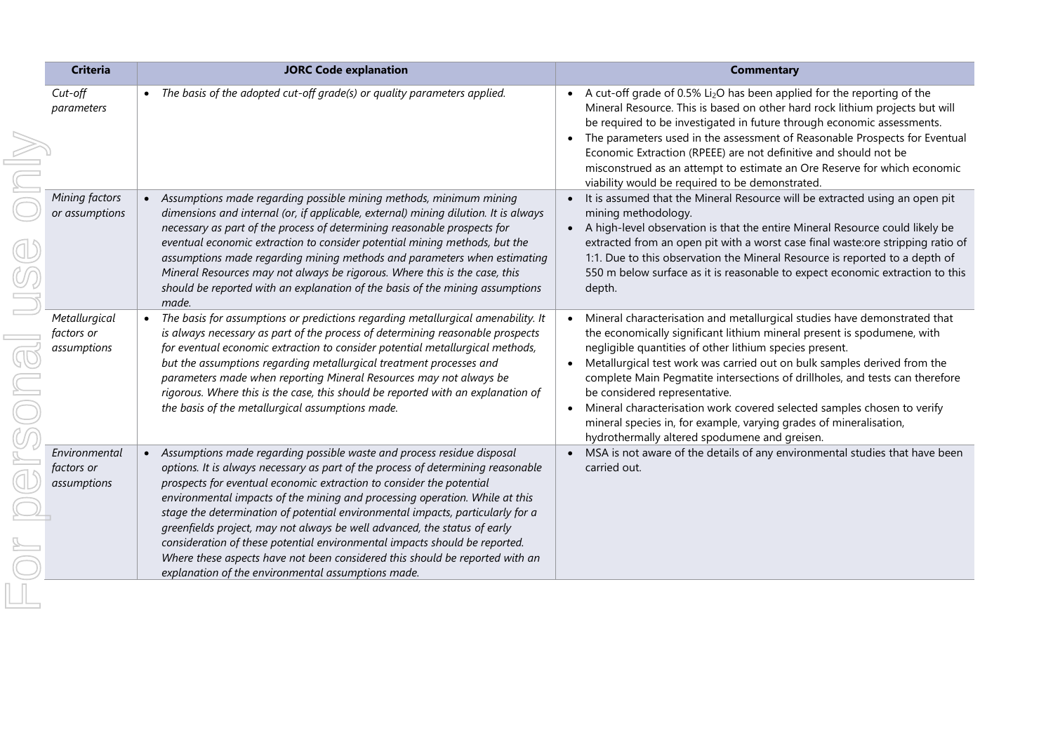|  | <b>Criteria</b>                            | <b>JORC Code explanation</b>                                                                                                                                                                                                                                                                                                                                                                                                                                                                                                                                                                                                                                                                                      | <b>Commentary</b>                                                                                                                                                                                                                                                                                                                                                                                                                                                                                                                                                                                              |
|--|--------------------------------------------|-------------------------------------------------------------------------------------------------------------------------------------------------------------------------------------------------------------------------------------------------------------------------------------------------------------------------------------------------------------------------------------------------------------------------------------------------------------------------------------------------------------------------------------------------------------------------------------------------------------------------------------------------------------------------------------------------------------------|----------------------------------------------------------------------------------------------------------------------------------------------------------------------------------------------------------------------------------------------------------------------------------------------------------------------------------------------------------------------------------------------------------------------------------------------------------------------------------------------------------------------------------------------------------------------------------------------------------------|
|  | $Cut$ -off<br>parameters                   | The basis of the adopted cut-off grade(s) or quality parameters applied.                                                                                                                                                                                                                                                                                                                                                                                                                                                                                                                                                                                                                                          | A cut-off grade of 0.5% $Li2O$ has been applied for the reporting of the<br>Mineral Resource. This is based on other hard rock lithium projects but will<br>be required to be investigated in future through economic assessments.<br>The parameters used in the assessment of Reasonable Prospects for Eventual<br>Economic Extraction (RPEEE) are not definitive and should not be<br>misconstrued as an attempt to estimate an Ore Reserve for which economic<br>viability would be required to be demonstrated.                                                                                            |
|  | Mining factors<br>or assumptions           | Assumptions made regarding possible mining methods, minimum mining<br>dimensions and internal (or, if applicable, external) mining dilution. It is always<br>necessary as part of the process of determining reasonable prospects for<br>eventual economic extraction to consider potential mining methods, but the<br>assumptions made regarding mining methods and parameters when estimating<br>Mineral Resources may not always be rigorous. Where this is the case, this<br>should be reported with an explanation of the basis of the mining assumptions<br>made.                                                                                                                                           | It is assumed that the Mineral Resource will be extracted using an open pit<br>mining methodology.<br>A high-level observation is that the entire Mineral Resource could likely be<br>extracted from an open pit with a worst case final waste: ore stripping ratio of<br>1:1. Due to this observation the Mineral Resource is reported to a depth of<br>550 m below surface as it is reasonable to expect economic extraction to this<br>depth.                                                                                                                                                               |
|  | Metallurgical<br>factors or<br>assumptions | The basis for assumptions or predictions regarding metallurgical amenability. It<br>is always necessary as part of the process of determining reasonable prospects<br>for eventual economic extraction to consider potential metallurgical methods,<br>but the assumptions regarding metallurgical treatment processes and<br>parameters made when reporting Mineral Resources may not always be<br>rigorous. Where this is the case, this should be reported with an explanation of<br>the basis of the metallurgical assumptions made.                                                                                                                                                                          | Mineral characterisation and metallurgical studies have demonstrated that<br>the economically significant lithium mineral present is spodumene, with<br>negligible quantities of other lithium species present.<br>Metallurgical test work was carried out on bulk samples derived from the<br>complete Main Pegmatite intersections of drillholes, and tests can therefore<br>be considered representative.<br>Mineral characterisation work covered selected samples chosen to verify<br>mineral species in, for example, varying grades of mineralisation,<br>hydrothermally altered spodumene and greisen. |
|  | Environmental<br>factors or<br>assumptions | Assumptions made regarding possible waste and process residue disposal<br>$\bullet$<br>options. It is always necessary as part of the process of determining reasonable<br>prospects for eventual economic extraction to consider the potential<br>environmental impacts of the mining and processing operation. While at this<br>stage the determination of potential environmental impacts, particularly for a<br>greenfields project, may not always be well advanced, the status of early<br>consideration of these potential environmental impacts should be reported.<br>Where these aspects have not been considered this should be reported with an<br>explanation of the environmental assumptions made. | MSA is not aware of the details of any environmental studies that have been<br>carried out.                                                                                                                                                                                                                                                                                                                                                                                                                                                                                                                    |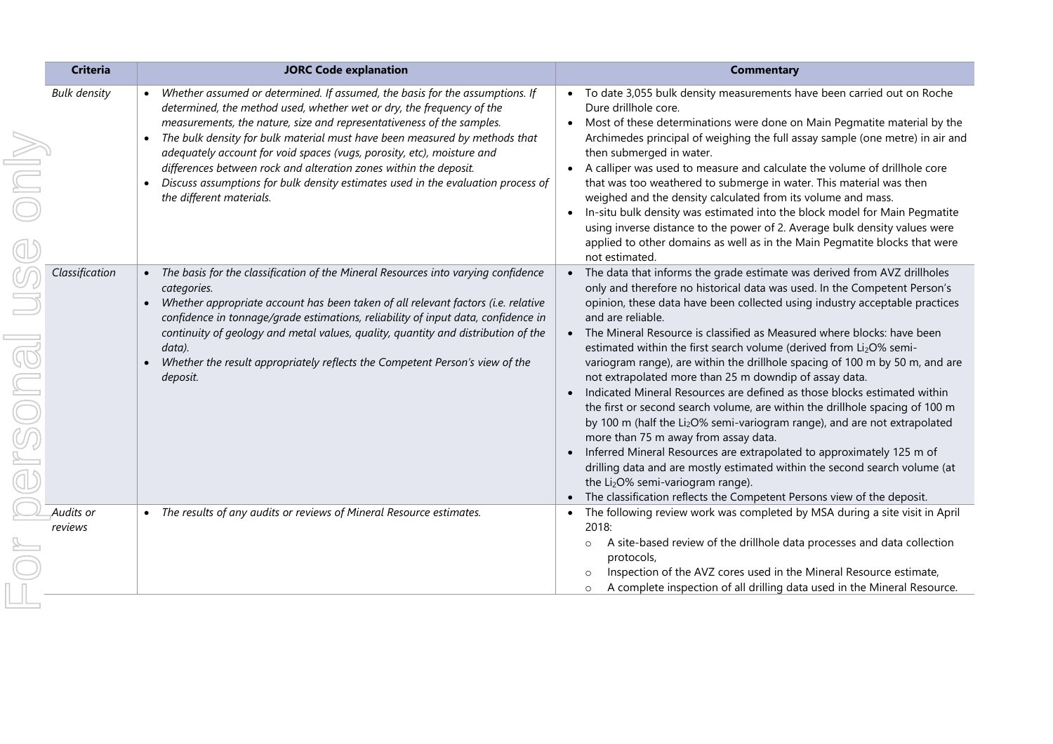|      | <b>Criteria</b>      | <b>JORC Code explanation</b>                                                                                                                                                                                                                                                                                                                                                                                                                                                                                                                                                                          | <b>Commentary</b>                                                                                                                                                                                                                                                                                                                                                                                                                                                                                                                                                                                                                                                                                                                                                                                                                                                                                                                                                                                                                                                                                                                  |
|------|----------------------|-------------------------------------------------------------------------------------------------------------------------------------------------------------------------------------------------------------------------------------------------------------------------------------------------------------------------------------------------------------------------------------------------------------------------------------------------------------------------------------------------------------------------------------------------------------------------------------------------------|------------------------------------------------------------------------------------------------------------------------------------------------------------------------------------------------------------------------------------------------------------------------------------------------------------------------------------------------------------------------------------------------------------------------------------------------------------------------------------------------------------------------------------------------------------------------------------------------------------------------------------------------------------------------------------------------------------------------------------------------------------------------------------------------------------------------------------------------------------------------------------------------------------------------------------------------------------------------------------------------------------------------------------------------------------------------------------------------------------------------------------|
|      | <b>Bulk density</b>  | Whether assumed or determined. If assumed, the basis for the assumptions. If<br>determined, the method used, whether wet or dry, the frequency of the<br>measurements, the nature, size and representativeness of the samples.<br>The bulk density for bulk material must have been measured by methods that<br>$\bullet$<br>adequately account for void spaces (vugs, porosity, etc), moisture and<br>differences between rock and alteration zones within the deposit.<br>Discuss assumptions for bulk density estimates used in the evaluation process of<br>$\bullet$<br>the different materials. | • To date 3,055 bulk density measurements have been carried out on Roche<br>Dure drillhole core.<br>Most of these determinations were done on Main Pegmatite material by the<br>Archimedes principal of weighing the full assay sample (one metre) in air and<br>then submerged in water.<br>A calliper was used to measure and calculate the volume of drillhole core<br>that was too weathered to submerge in water. This material was then<br>weighed and the density calculated from its volume and mass.<br>In-situ bulk density was estimated into the block model for Main Pegmatite<br>using inverse distance to the power of 2. Average bulk density values were<br>applied to other domains as well as in the Main Pegmatite blocks that were<br>not estimated.                                                                                                                                                                                                                                                                                                                                                          |
| rson | Classification       | The basis for the classification of the Mineral Resources into varying confidence<br>categories.<br>Whether appropriate account has been taken of all relevant factors (i.e. relative<br>confidence in tonnage/grade estimations, reliability of input data, confidence in<br>continuity of geology and metal values, quality, quantity and distribution of the<br>data).<br>Whether the result appropriately reflects the Competent Person's view of the<br>deposit.                                                                                                                                 | The data that informs the grade estimate was derived from AVZ drillholes<br>only and therefore no historical data was used. In the Competent Person's<br>opinion, these data have been collected using industry acceptable practices<br>and are reliable.<br>The Mineral Resource is classified as Measured where blocks: have been<br>estimated within the first search volume (derived from Li2O% semi-<br>variogram range), are within the drillhole spacing of 100 m by 50 m, and are<br>not extrapolated more than 25 m downdip of assay data.<br>Indicated Mineral Resources are defined as those blocks estimated within<br>the first or second search volume, are within the drillhole spacing of 100 m<br>by 100 m (half the Li <sub>2</sub> O% semi-variogram range), and are not extrapolated<br>more than 75 m away from assay data.<br>Inferred Mineral Resources are extrapolated to approximately 125 m of<br>drilling data and are mostly estimated within the second search volume (at<br>the Li <sub>2</sub> O% semi-variogram range).<br>The classification reflects the Competent Persons view of the deposit. |
|      | Audits or<br>reviews | The results of any audits or reviews of Mineral Resource estimates.<br>$\bullet$                                                                                                                                                                                                                                                                                                                                                                                                                                                                                                                      | The following review work was completed by MSA during a site visit in April<br>2018:<br>A site-based review of the drillhole data processes and data collection<br>$\circ$<br>protocols,<br>Inspection of the AVZ cores used in the Mineral Resource estimate,<br>$\circ$<br>A complete inspection of all drilling data used in the Mineral Resource.<br>$\circ$                                                                                                                                                                                                                                                                                                                                                                                                                                                                                                                                                                                                                                                                                                                                                                   |